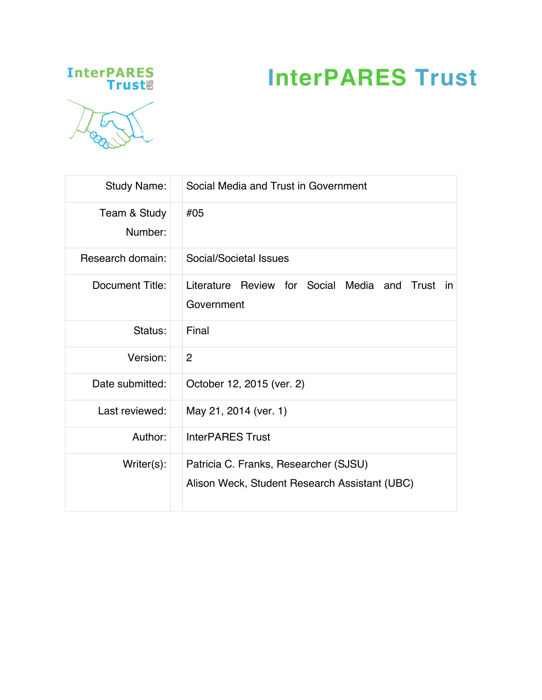# **InterPARES Trust**





| <b>Study Name:</b>      | Social Media and Trust in Government                                                   |  |  |
|-------------------------|----------------------------------------------------------------------------------------|--|--|
| Team & Study<br>Number: | #05                                                                                    |  |  |
| Research domain:        | Social/Societal Issues                                                                 |  |  |
| Document Title:         | Literature Review for Social Media and<br>Trust in<br>Government                       |  |  |
| Status:                 | Final                                                                                  |  |  |
| Version:                | $\overline{2}$                                                                         |  |  |
| Date submitted:         | October 12, 2015 (ver. 2)                                                              |  |  |
| Last reviewed:          | May 21, 2014 (ver. 1)                                                                  |  |  |
| Author:                 | <b>InterPARES Trust</b>                                                                |  |  |
| $Writer(s)$ :           | Patricia C. Franks, Researcher (SJSU)<br>Alison Weck, Student Research Assistant (UBC) |  |  |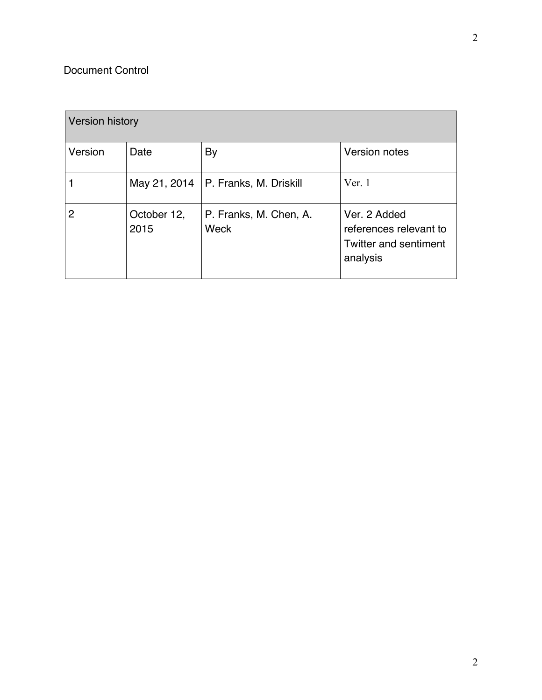# Document Control

| <b>Version history</b> |                     |                                |                                                                                    |  |
|------------------------|---------------------|--------------------------------|------------------------------------------------------------------------------------|--|
| Version                | Date                | By                             | Version notes                                                                      |  |
|                        | May 21, 2014        | P. Franks, M. Driskill         | Ver. 1                                                                             |  |
| 2                      | October 12,<br>2015 | P. Franks, M. Chen, A.<br>Weck | Ver. 2 Added<br>references relevant to<br><b>Twitter and sentiment</b><br>analysis |  |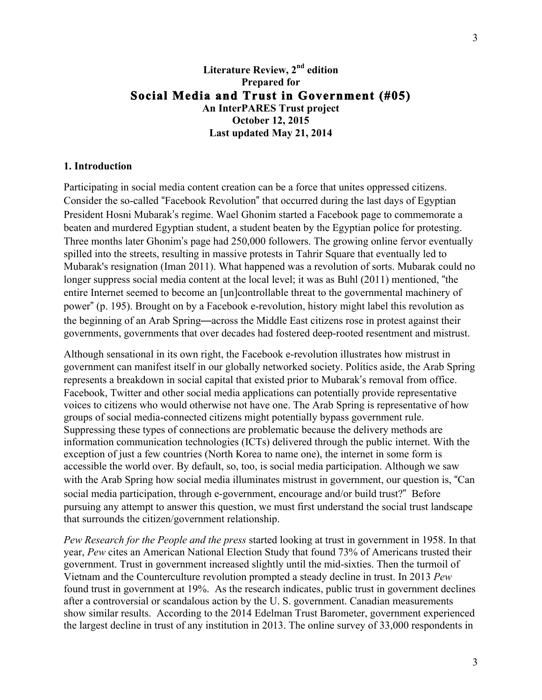# **Literature Review, 2nd edition Prepared for Social Media and Trust in Government (#05) An InterPARES Trust project October 12, 2015 Last updated May 21, 2014**

#### **1. Introduction**

Participating in social media content creation can be a force that unites oppressed citizens. Consider the so-called "Facebook Revolution" that occurred during the last days of Egyptian President Hosni Mubarak's regime. Wael Ghonim started a Facebook page to commemorate a beaten and murdered Egyptian student, a student beaten by the Egyptian police for protesting. Three months later Ghonim's page had 250,000 followers. The growing online fervor eventually spilled into the streets, resulting in massive protests in Tahrir Square that eventually led to Mubarak's resignation (Iman 2011). What happened was a revolution of sorts. Mubarak could no longer suppress social media content at the local level; it was as Buhl (2011) mentioned, "the entire Internet seemed to become an [un]controllable threat to the governmental machinery of power" (p. 195). Brought on by a Facebook e-revolution, history might label this revolution as the beginning of an Arab Spring—across the Middle East citizens rose in protest against their governments, governments that over decades had fostered deep-rooted resentment and mistrust.

Although sensational in its own right, the Facebook e-revolution illustrates how mistrust in government can manifest itself in our globally networked society. Politics aside, the Arab Spring represents a breakdown in social capital that existed prior to Mubarak's removal from office. Facebook, Twitter and other social media applications can potentially provide representative voices to citizens who would otherwise not have one. The Arab Spring is representative of how groups of social media-connected citizens might potentially bypass government rule. Suppressing these types of connections are problematic because the delivery methods are information communication technologies (ICTs) delivered through the public internet. With the exception of just a few countries (North Korea to name one), the internet in some form is accessible the world over. By default, so, too, is social media participation. Although we saw with the Arab Spring how social media illuminates mistrust in government, our question is, "Can social media participation, through e-government, encourage and/or build trust?" Before pursuing any attempt to answer this question, we must first understand the social trust landscape that surrounds the citizen/government relationship.

*Pew Research for the People and the press* started looking at trust in government in 1958. In that year, *Pew* cites an American National Election Study that found 73% of Americans trusted their government. Trust in government increased slightly until the mid-sixties. Then the turmoil of Vietnam and the Counterculture revolution prompted a steady decline in trust. In 2013 *Pew*  found trust in government at 19%. As the research indicates, public trust in government declines after a controversial or scandalous action by the U. S. government. Canadian measurements show similar results. According to the 2014 Edelman Trust Barometer, government experienced the largest decline in trust of any institution in 2013. The online survey of 33,000 respondents in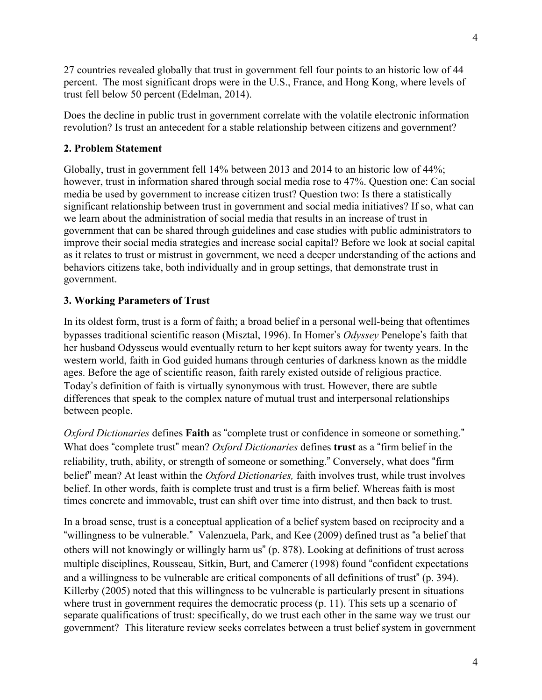27 countries revealed globally that trust in government fell four points to an historic low of 44 percent. The most significant drops were in the U.S., France, and Hong Kong, where levels of trust fell below 50 percent (Edelman, 2014).

Does the decline in public trust in government correlate with the volatile electronic information revolution? Is trust an antecedent for a stable relationship between citizens and government?

## **2. Problem Statement**

Globally, trust in government fell 14% between 2013 and 2014 to an historic low of 44%; however, trust in information shared through social media rose to 47%. Question one: Can social media be used by government to increase citizen trust? Question two: Is there a statistically significant relationship between trust in government and social media initiatives? If so, what can we learn about the administration of social media that results in an increase of trust in government that can be shared through guidelines and case studies with public administrators to improve their social media strategies and increase social capital? Before we look at social capital as it relates to trust or mistrust in government, we need a deeper understanding of the actions and behaviors citizens take, both individually and in group settings, that demonstrate trust in government.

#### **3. Working Parameters of Trust**

In its oldest form, trust is a form of faith; a broad belief in a personal well-being that oftentimes bypasses traditional scientific reason (Misztal, 1996). In Homer's *Odyssey* Penelope's faith that her husband Odysseus would eventually return to her kept suitors away for twenty years. In the western world, faith in God guided humans through centuries of darkness known as the middle ages. Before the age of scientific reason, faith rarely existed outside of religious practice. Today's definition of faith is virtually synonymous with trust. However, there are subtle differences that speak to the complex nature of mutual trust and interpersonal relationships between people.

*Oxford Dictionaries* defines **Faith** as "complete trust or confidence in someone or something." What does "complete trust" mean? *Oxford Dictionaries* defines **trust** as a "firm belief in the reliability, truth, ability, or strength of someone or something." Conversely, what does "firm belief" mean? At least within the *Oxford Dictionaries,* faith involves trust, while trust involves belief. In other words, faith is complete trust and trust is a firm belief. Whereas faith is most times concrete and immovable, trust can shift over time into distrust, and then back to trust.

In a broad sense, trust is a conceptual application of a belief system based on reciprocity and a "willingness to be vulnerable." Valenzuela, Park, and Kee (2009) defined trust as "a belief that others will not knowingly or willingly harm us" (p. 878). Looking at definitions of trust across multiple disciplines, Rousseau, Sitkin, Burt, and Camerer (1998) found "confident expectations and a willingness to be vulnerable are critical components of all definitions of trust" (p. 394). Killerby (2005) noted that this willingness to be vulnerable is particularly present in situations where trust in government requires the democratic process (p. 11). This sets up a scenario of separate qualifications of trust: specifically, do we trust each other in the same way we trust our government? This literature review seeks correlates between a trust belief system in government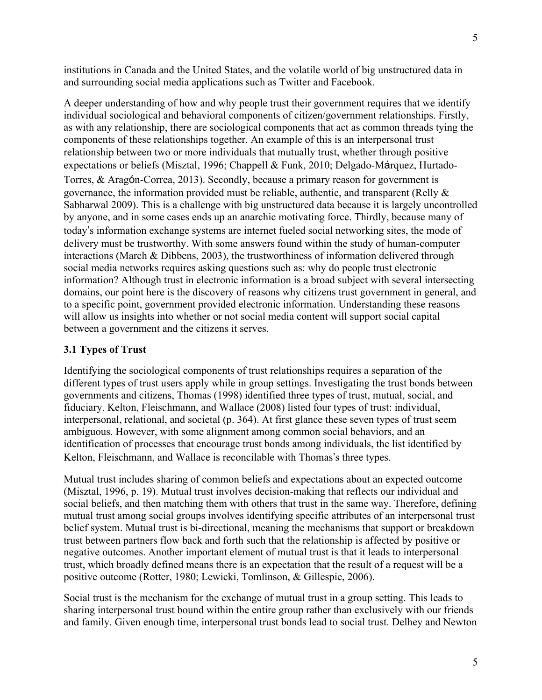institutions in Canada and the United States, and the volatile world of big unstructured data in and surrounding social media applications such as Twitter and Facebook.

A deeper understanding of how and why people trust their government requires that we identify individual sociological and behavioral components of citizen/government relationships. Firstly, as with any relationship, there are sociological components that act as common threads tying the components of these relationships together. An example of this is an interpersonal trust relationship between two or more individuals that mutually trust, whether through positive expectations or beliefs (Misztal, 1996; Chappell & Funk, 2010; Delgado-Márquez, Hurtado-Torres, & Aragón-Correa, 2013). Secondly, because a primary reason for government is governance, the information provided must be reliable, authentic, and transparent (Relly & Sabharwal 2009). This is a challenge with big unstructured data because it is largely uncontrolled by anyone, and in some cases ends up an anarchic motivating force. Thirdly, because many of today's information exchange systems are internet fueled social networking sites, the mode of delivery must be trustworthy. With some answers found within the study of human-computer interactions (March & Dibbens, 2003), the trustworthiness of information delivered through social media networks requires asking questions such as: why do people trust electronic information? Although trust in electronic information is a broad subject with several intersecting domains, our point here is the discovery of reasons why citizens trust government in general, and to a specific point, government provided electronic information. Understanding these reasons will allow us insights into whether or not social media content will support social capital between a government and the citizens it serves.

# **3.1 Types of Trust**

Identifying the sociological components of trust relationships requires a separation of the different types of trust users apply while in group settings. Investigating the trust bonds between governments and citizens, Thomas (1998) identified three types of trust, mutual, social, and fiduciary. Kelton, Fleischmann, and Wallace (2008) listed four types of trust: individual, interpersonal, relational, and societal (p. 364). At first glance these seven types of trust seem ambiguous. However, with some alignment among common social behaviors, and an identification of processes that encourage trust bonds among individuals, the list identified by Kelton, Fleischmann, and Wallace is reconcilable with Thomas's three types.

Mutual trust includes sharing of common beliefs and expectations about an expected outcome (Misztal, 1996, p. 19). Mutual trust involves decision-making that reflects our individual and social beliefs, and then matching them with others that trust in the same way. Therefore, defining mutual trust among social groups involves identifying specific attributes of an interpersonal trust belief system. Mutual trust is bi-directional, meaning the mechanisms that support or breakdown trust between partners flow back and forth such that the relationship is affected by positive or negative outcomes. Another important element of mutual trust is that it leads to interpersonal trust, which broadly defined means there is an expectation that the result of a request will be a positive outcome (Rotter, 1980; Lewicki, Tomlinson, & Gillespie, 2006).

Social trust is the mechanism for the exchange of mutual trust in a group setting. This leads to sharing interpersonal trust bound within the entire group rather than exclusively with our friends and family. Given enough time, interpersonal trust bonds lead to social trust. Delhey and Newton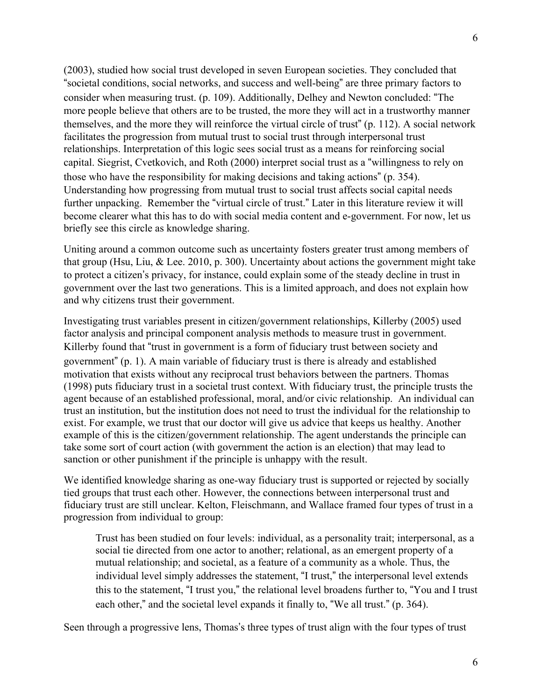(2003), studied how social trust developed in seven European societies. They concluded that "societal conditions, social networks, and success and well-being" are three primary factors to consider when measuring trust. (p. 109). Additionally, Delhey and Newton concluded: "The more people believe that others are to be trusted, the more they will act in a trustworthy manner themselves, and the more they will reinforce the virtual circle of trust" (p. 112). A social network facilitates the progression from mutual trust to social trust through interpersonal trust relationships. Interpretation of this logic sees social trust as a means for reinforcing social capital. Siegrist, Cvetkovich, and Roth (2000) interpret social trust as a "willingness to rely on those who have the responsibility for making decisions and taking actions" (p. 354). Understanding how progressing from mutual trust to social trust affects social capital needs further unpacking. Remember the "virtual circle of trust." Later in this literature review it will become clearer what this has to do with social media content and e-government. For now, let us briefly see this circle as knowledge sharing.

Uniting around a common outcome such as uncertainty fosters greater trust among members of that group (Hsu, Liu, & Lee. 2010, p. 300). Uncertainty about actions the government might take to protect a citizen's privacy, for instance, could explain some of the steady decline in trust in government over the last two generations. This is a limited approach, and does not explain how and why citizens trust their government.

Investigating trust variables present in citizen/government relationships, Killerby (2005) used factor analysis and principal component analysis methods to measure trust in government. Killerby found that "trust in government is a form of fiduciary trust between society and government" (p. 1). A main variable of fiduciary trust is there is already and established motivation that exists without any reciprocal trust behaviors between the partners. Thomas (1998) puts fiduciary trust in a societal trust context. With fiduciary trust, the principle trusts the agent because of an established professional, moral, and/or civic relationship. An individual can trust an institution, but the institution does not need to trust the individual for the relationship to exist. For example, we trust that our doctor will give us advice that keeps us healthy. Another example of this is the citizen/government relationship. The agent understands the principle can take some sort of court action (with government the action is an election) that may lead to sanction or other punishment if the principle is unhappy with the result.

We identified knowledge sharing as one-way fiduciary trust is supported or rejected by socially tied groups that trust each other. However, the connections between interpersonal trust and fiduciary trust are still unclear. Kelton, Fleischmann, and Wallace framed four types of trust in a progression from individual to group:

Trust has been studied on four levels: individual, as a personality trait; interpersonal, as a social tie directed from one actor to another; relational, as an emergent property of a mutual relationship; and societal, as a feature of a community as a whole. Thus, the individual level simply addresses the statement, "I trust," the interpersonal level extends this to the statement, "I trust you," the relational level broadens further to, "You and I trust each other," and the societal level expands it finally to, "We all trust." (p. 364).

Seen through a progressive lens, Thomas's three types of trust align with the four types of trust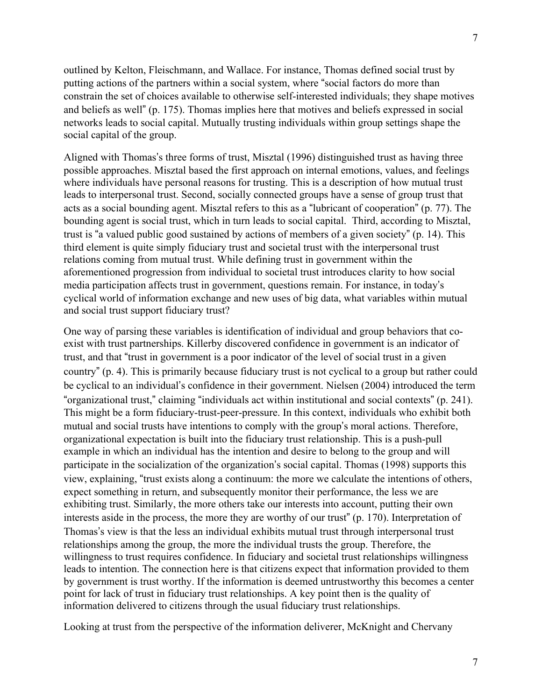outlined by Kelton, Fleischmann, and Wallace. For instance, Thomas defined social trust by putting actions of the partners within a social system, where "social factors do more than constrain the set of choices available to otherwise self-interested individuals; they shape motives and beliefs as well" (p. 175). Thomas implies here that motives and beliefs expressed in social networks leads to social capital. Mutually trusting individuals within group settings shape the social capital of the group.

Aligned with Thomas's three forms of trust, Misztal (1996) distinguished trust as having three possible approaches. Misztal based the first approach on internal emotions, values, and feelings where individuals have personal reasons for trusting. This is a description of how mutual trust leads to interpersonal trust. Second, socially connected groups have a sense of group trust that acts as a social bounding agent. Misztal refers to this as a "lubricant of cooperation" (p. 77). The bounding agent is social trust, which in turn leads to social capital. Third, according to Misztal, trust is "a valued public good sustained by actions of members of a given society" (p. 14). This third element is quite simply fiduciary trust and societal trust with the interpersonal trust relations coming from mutual trust. While defining trust in government within the aforementioned progression from individual to societal trust introduces clarity to how social media participation affects trust in government, questions remain. For instance, in today's cyclical world of information exchange and new uses of big data, what variables within mutual and social trust support fiduciary trust?

One way of parsing these variables is identification of individual and group behaviors that coexist with trust partnerships. Killerby discovered confidence in government is an indicator of trust, and that "trust in government is a poor indicator of the level of social trust in a given country" (p. 4). This is primarily because fiduciary trust is not cyclical to a group but rather could be cyclical to an individual's confidence in their government. Nielsen (2004) introduced the term "organizational trust," claiming "individuals act within institutional and social contexts" (p. 241). This might be a form fiduciary-trust-peer-pressure. In this context, individuals who exhibit both mutual and social trusts have intentions to comply with the group's moral actions. Therefore, organizational expectation is built into the fiduciary trust relationship. This is a push-pull example in which an individual has the intention and desire to belong to the group and will participate in the socialization of the organization's social capital. Thomas (1998) supports this view, explaining, "trust exists along a continuum: the more we calculate the intentions of others, expect something in return, and subsequently monitor their performance, the less we are exhibiting trust. Similarly, the more others take our interests into account, putting their own interests aside in the process, the more they are worthy of our trust" (p. 170). Interpretation of Thomas's view is that the less an individual exhibits mutual trust through interpersonal trust relationships among the group, the more the individual trusts the group. Therefore, the willingness to trust requires confidence. In fiduciary and societal trust relationships willingness leads to intention. The connection here is that citizens expect that information provided to them by government is trust worthy. If the information is deemed untrustworthy this becomes a center point for lack of trust in fiduciary trust relationships. A key point then is the quality of information delivered to citizens through the usual fiduciary trust relationships.

Looking at trust from the perspective of the information deliverer, McKnight and Chervany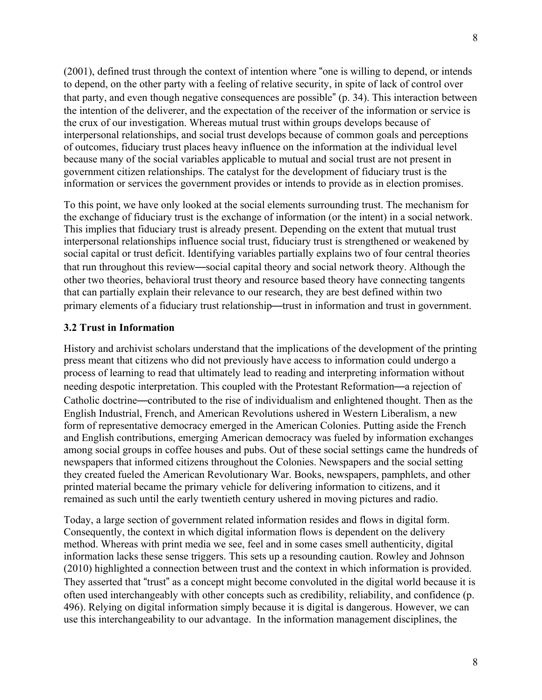(2001), defined trust through the context of intention where "one is willing to depend, or intends to depend, on the other party with a feeling of relative security, in spite of lack of control over that party, and even though negative consequences are possible" (p. 34). This interaction between the intention of the deliverer, and the expectation of the receiver of the information or service is the crux of our investigation. Whereas mutual trust within groups develops because of interpersonal relationships, and social trust develops because of common goals and perceptions of outcomes, fiduciary trust places heavy influence on the information at the individual level because many of the social variables applicable to mutual and social trust are not present in government citizen relationships. The catalyst for the development of fiduciary trust is the information or services the government provides or intends to provide as in election promises.

To this point, we have only looked at the social elements surrounding trust. The mechanism for the exchange of fiduciary trust is the exchange of information (or the intent) in a social network. This implies that fiduciary trust is already present. Depending on the extent that mutual trust interpersonal relationships influence social trust, fiduciary trust is strengthened or weakened by social capital or trust deficit. Identifying variables partially explains two of four central theories that run throughout this review—social capital theory and social network theory. Although the other two theories, behavioral trust theory and resource based theory have connecting tangents that can partially explain their relevance to our research, they are best defined within two primary elements of a fiduciary trust relationship—trust in information and trust in government.

#### **3.2 Trust in Information**

History and archivist scholars understand that the implications of the development of the printing press meant that citizens who did not previously have access to information could undergo a process of learning to read that ultimately lead to reading and interpreting information without needing despotic interpretation. This coupled with the Protestant Reformation—a rejection of Catholic doctrine—contributed to the rise of individualism and enlightened thought. Then as the English Industrial, French, and American Revolutions ushered in Western Liberalism, a new form of representative democracy emerged in the American Colonies. Putting aside the French and English contributions, emerging American democracy was fueled by information exchanges among social groups in coffee houses and pubs. Out of these social settings came the hundreds of newspapers that informed citizens throughout the Colonies. Newspapers and the social setting they created fueled the American Revolutionary War. Books, newspapers, pamphlets, and other printed material became the primary vehicle for delivering information to citizens, and it remained as such until the early twentieth century ushered in moving pictures and radio.

Today, a large section of government related information resides and flows in digital form. Consequently, the context in which digital information flows is dependent on the delivery method. Whereas with print media we see, feel and in some cases smell authenticity, digital information lacks these sense triggers. This sets up a resounding caution. Rowley and Johnson (2010) highlighted a connection between trust and the context in which information is provided. They asserted that "trust" as a concept might become convoluted in the digital world because it is often used interchangeably with other concepts such as credibility, reliability, and confidence (p. 496). Relying on digital information simply because it is digital is dangerous. However, we can use this interchangeability to our advantage. In the information management disciplines, the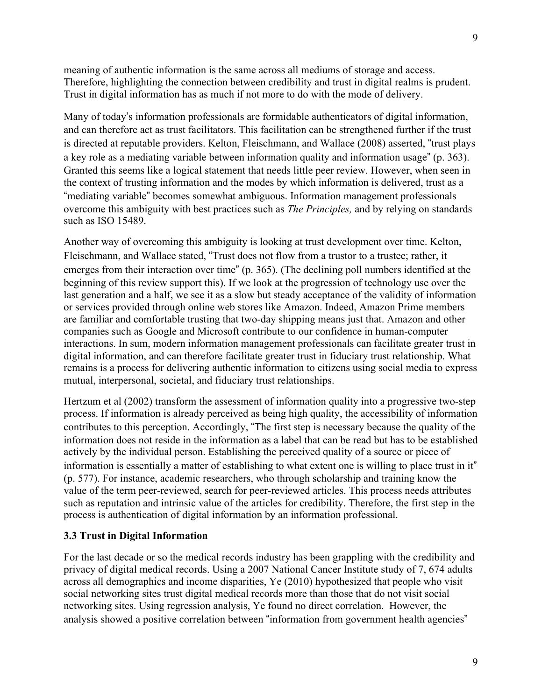meaning of authentic information is the same across all mediums of storage and access. Therefore, highlighting the connection between credibility and trust in digital realms is prudent. Trust in digital information has as much if not more to do with the mode of delivery.

Many of today's information professionals are formidable authenticators of digital information, and can therefore act as trust facilitators. This facilitation can be strengthened further if the trust is directed at reputable providers. Kelton, Fleischmann, and Wallace (2008) asserted, "trust plays a key role as a mediating variable between information quality and information usage" (p. 363). Granted this seems like a logical statement that needs little peer review. However, when seen in the context of trusting information and the modes by which information is delivered, trust as a "mediating variable" becomes somewhat ambiguous. Information management professionals overcome this ambiguity with best practices such as *The Principles,* and by relying on standards such as ISO 15489.

Another way of overcoming this ambiguity is looking at trust development over time. Kelton, Fleischmann, and Wallace stated, "Trust does not flow from a trustor to a trustee; rather, it emerges from their interaction over time" (p. 365). (The declining poll numbers identified at the beginning of this review support this). If we look at the progression of technology use over the last generation and a half, we see it as a slow but steady acceptance of the validity of information or services provided through online web stores like Amazon. Indeed, Amazon Prime members are familiar and comfortable trusting that two-day shipping means just that. Amazon and other companies such as Google and Microsoft contribute to our confidence in human-computer interactions. In sum, modern information management professionals can facilitate greater trust in digital information, and can therefore facilitate greater trust in fiduciary trust relationship. What remains is a process for delivering authentic information to citizens using social media to express mutual, interpersonal, societal, and fiduciary trust relationships.

Hertzum et al (2002) transform the assessment of information quality into a progressive two-step process. If information is already perceived as being high quality, the accessibility of information contributes to this perception. Accordingly, "The first step is necessary because the quality of the information does not reside in the information as a label that can be read but has to be established actively by the individual person. Establishing the perceived quality of a source or piece of information is essentially a matter of establishing to what extent one is willing to place trust in it" (p. 577). For instance, academic researchers, who through scholarship and training know the value of the term peer-reviewed, search for peer-reviewed articles. This process needs attributes such as reputation and intrinsic value of the articles for credibility. Therefore, the first step in the process is authentication of digital information by an information professional.

#### **3.3 Trust in Digital Information**

For the last decade or so the medical records industry has been grappling with the credibility and privacy of digital medical records. Using a 2007 National Cancer Institute study of 7, 674 adults across all demographics and income disparities, Ye (2010) hypothesized that people who visit social networking sites trust digital medical records more than those that do not visit social networking sites. Using regression analysis, Ye found no direct correlation. However, the analysis showed a positive correlation between "information from government health agencies"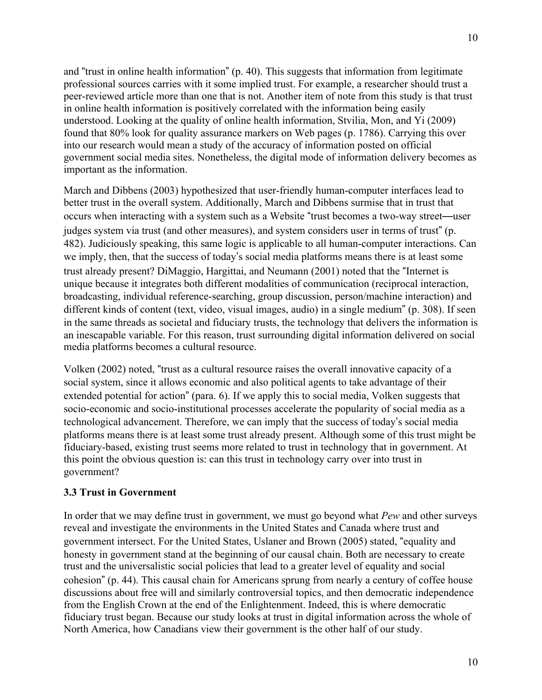and "trust in online health information" (p. 40). This suggests that information from legitimate professional sources carries with it some implied trust. For example, a researcher should trust a peer-reviewed article more than one that is not. Another item of note from this study is that trust in online health information is positively correlated with the information being easily understood. Looking at the quality of online health information, Stvilia, Mon, and Yi (2009) found that 80% look for quality assurance markers on Web pages (p. 1786). Carrying this over into our research would mean a study of the accuracy of information posted on official government social media sites. Nonetheless, the digital mode of information delivery becomes as important as the information.

March and Dibbens (2003) hypothesized that user-friendly human-computer interfaces lead to better trust in the overall system. Additionally, March and Dibbens surmise that in trust that occurs when interacting with a system such as a Website "trust becomes a two-way street—user judges system via trust (and other measures), and system considers user in terms of trust" (p. 482). Judiciously speaking, this same logic is applicable to all human-computer interactions. Can we imply, then, that the success of today's social media platforms means there is at least some trust already present? DiMaggio, Hargittai, and Neumann (2001) noted that the "Internet is unique because it integrates both different modalities of communication (reciprocal interaction, broadcasting, individual reference-searching, group discussion, person/machine interaction) and different kinds of content (text, video, visual images, audio) in a single medium" (p. 308). If seen in the same threads as societal and fiduciary trusts, the technology that delivers the information is an inescapable variable. For this reason, trust surrounding digital information delivered on social media platforms becomes a cultural resource.

Volken (2002) noted, "trust as a cultural resource raises the overall innovative capacity of a social system, since it allows economic and also political agents to take advantage of their extended potential for action" (para. 6). If we apply this to social media, Volken suggests that socio-economic and socio-institutional processes accelerate the popularity of social media as a technological advancement. Therefore, we can imply that the success of today's social media platforms means there is at least some trust already present. Although some of this trust might be fiduciary-based, existing trust seems more related to trust in technology that in government. At this point the obvious question is: can this trust in technology carry over into trust in government?

#### **3.3 Trust in Government**

In order that we may define trust in government, we must go beyond what *Pew* and other surveys reveal and investigate the environments in the United States and Canada where trust and government intersect. For the United States, Uslaner and Brown (2005) stated, "equality and honesty in government stand at the beginning of our causal chain. Both are necessary to create trust and the universalistic social policies that lead to a greater level of equality and social cohesion" (p. 44). This causal chain for Americans sprung from nearly a century of coffee house discussions about free will and similarly controversial topics, and then democratic independence from the English Crown at the end of the Enlightenment. Indeed, this is where democratic fiduciary trust began. Because our study looks at trust in digital information across the whole of North America, how Canadians view their government is the other half of our study.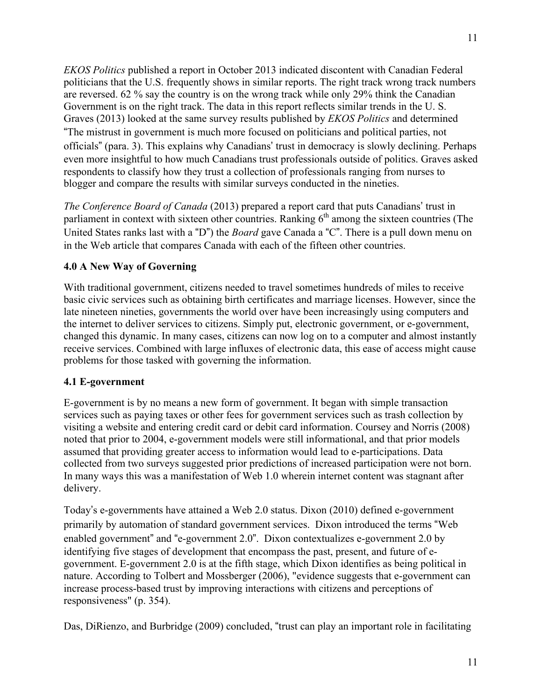*EKOS Politics* published a report in October 2013 indicated discontent with Canadian Federal politicians that the U.S. frequently shows in similar reports. The right track wrong track numbers are reversed. 62 % say the country is on the wrong track while only 29% think the Canadian Government is on the right track. The data in this report reflects similar trends in the U. S. Graves (2013) looked at the same survey results published by *EKOS Politics* and determined "The mistrust in government is much more focused on politicians and political parties, not officials" (para. 3). This explains why Canadians' trust in democracy is slowly declining. Perhaps even more insightful to how much Canadians trust professionals outside of politics. Graves asked respondents to classify how they trust a collection of professionals ranging from nurses to blogger and compare the results with similar surveys conducted in the nineties.

*The Conference Board of Canada* (2013) prepared a report card that puts Canadians' trust in parliament in context with sixteen other countries. Ranking  $6<sup>th</sup>$  among the sixteen countries (The United States ranks last with a "D") the *Board* gave Canada a "C". There is a pull down menu on in the Web article that compares Canada with each of the fifteen other countries.

## **4.0 A New Way of Governing**

With traditional government, citizens needed to travel sometimes hundreds of miles to receive basic civic services such as obtaining birth certificates and marriage licenses. However, since the late nineteen nineties, governments the world over have been increasingly using computers and the internet to deliver services to citizens. Simply put, electronic government, or e-government, changed this dynamic. In many cases, citizens can now log on to a computer and almost instantly receive services. Combined with large influxes of electronic data, this ease of access might cause problems for those tasked with governing the information.

## **4.1 E-government**

E-government is by no means a new form of government. It began with simple transaction services such as paying taxes or other fees for government services such as trash collection by visiting a website and entering credit card or debit card information. Coursey and Norris (2008) noted that prior to 2004, e-government models were still informational, and that prior models assumed that providing greater access to information would lead to e-participations. Data collected from two surveys suggested prior predictions of increased participation were not born. In many ways this was a manifestation of Web 1.0 wherein internet content was stagnant after delivery.

Today's e-governments have attained a Web 2.0 status. Dixon (2010) defined e-government primarily by automation of standard government services. Dixon introduced the terms "Web enabled government" and "e-government 2.0". Dixon contextualizes e-government 2.0 by identifying five stages of development that encompass the past, present, and future of egovernment. E-government 2.0 is at the fifth stage, which Dixon identifies as being political in nature. According to Tolbert and Mossberger (2006), "evidence suggests that e-government can increase process-based trust by improving interactions with citizens and perceptions of responsiveness" (p. 354).

Das, DiRienzo, and Burbridge (2009) concluded, "trust can play an important role in facilitating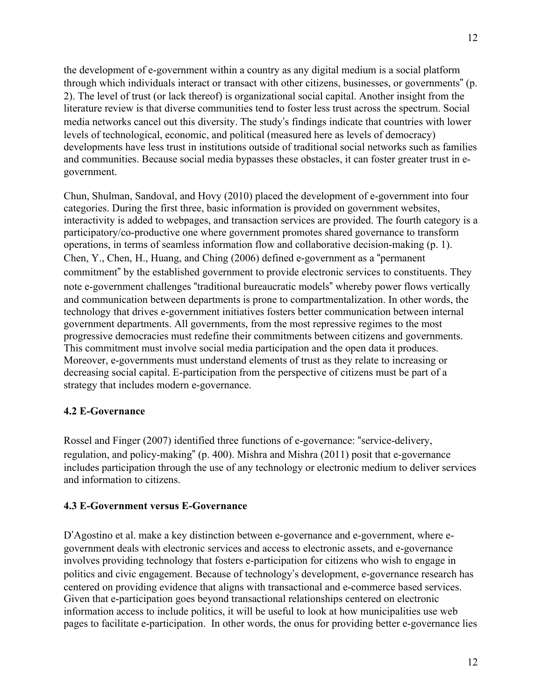the development of e-government within a country as any digital medium is a social platform through which individuals interact or transact with other citizens, businesses, or governments" (p. 2). The level of trust (or lack thereof) is organizational social capital. Another insight from the literature review is that diverse communities tend to foster less trust across the spectrum. Social media networks cancel out this diversity. The study's findings indicate that countries with lower levels of technological, economic, and political (measured here as levels of democracy) developments have less trust in institutions outside of traditional social networks such as families and communities. Because social media bypasses these obstacles, it can foster greater trust in egovernment.

Chun, Shulman, Sandoval, and Hovy (2010) placed the development of e-government into four categories. During the first three, basic information is provided on government websites, interactivity is added to webpages, and transaction services are provided. The fourth category is a participatory/co-productive one where government promotes shared governance to transform operations, in terms of seamless information flow and collaborative decision-making (p. 1). Chen, Y., Chen, H., Huang, and Ching (2006) defined e-government as a "permanent commitment" by the established government to provide electronic services to constituents. They note e-government challenges "traditional bureaucratic models" whereby power flows vertically and communication between departments is prone to compartmentalization. In other words, the technology that drives e-government initiatives fosters better communication between internal government departments. All governments, from the most repressive regimes to the most progressive democracies must redefine their commitments between citizens and governments. This commitment must involve social media participation and the open data it produces. Moreover, e-governments must understand elements of trust as they relate to increasing or decreasing social capital. E-participation from the perspective of citizens must be part of a strategy that includes modern e-governance.

## **4.2 E-Governance**

Rossel and Finger (2007) identified three functions of e-governance: "service-delivery, regulation, and policy-making" (p. 400). Mishra and Mishra (2011) posit that e-governance includes participation through the use of any technology or electronic medium to deliver services and information to citizens.

## **4.3 E-Government versus E-Governance**

D'Agostino et al. make a key distinction between e-governance and e-government, where egovernment deals with electronic services and access to electronic assets, and e-governance involves providing technology that fosters e-participation for citizens who wish to engage in politics and civic engagement. Because of technology's development, e-governance research has centered on providing evidence that aligns with transactional and e-commerce based services. Given that e-participation goes beyond transactional relationships centered on electronic information access to include politics, it will be useful to look at how municipalities use web pages to facilitate e-participation. In other words, the onus for providing better e-governance lies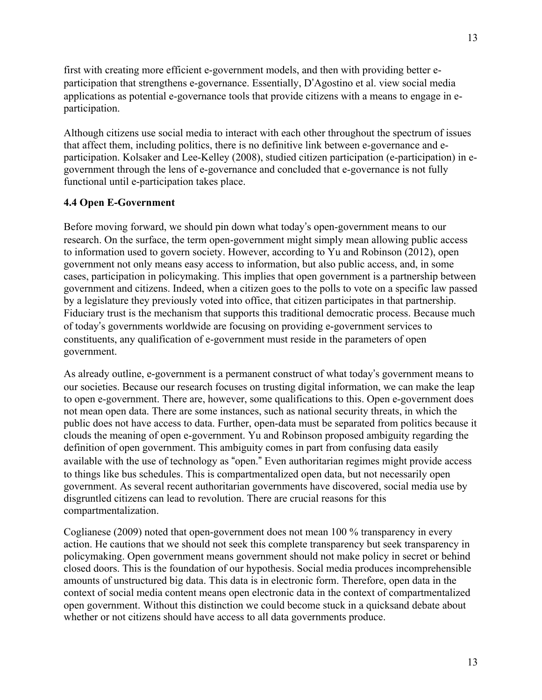first with creating more efficient e-government models, and then with providing better eparticipation that strengthens e-governance. Essentially, D'Agostino et al. view social media applications as potential e-governance tools that provide citizens with a means to engage in eparticipation.

Although citizens use social media to interact with each other throughout the spectrum of issues that affect them, including politics, there is no definitive link between e-governance and eparticipation. Kolsaker and Lee-Kelley (2008), studied citizen participation (e-participation) in egovernment through the lens of e-governance and concluded that e-governance is not fully functional until e-participation takes place.

## **4.4 Open E-Government**

Before moving forward, we should pin down what today's open-government means to our research. On the surface, the term open-government might simply mean allowing public access to information used to govern society. However, according to Yu and Robinson (2012), open government not only means easy access to information, but also public access, and, in some cases, participation in policymaking. This implies that open government is a partnership between government and citizens. Indeed, when a citizen goes to the polls to vote on a specific law passed by a legislature they previously voted into office, that citizen participates in that partnership. Fiduciary trust is the mechanism that supports this traditional democratic process. Because much of today's governments worldwide are focusing on providing e-government services to constituents, any qualification of e-government must reside in the parameters of open government.

As already outline, e-government is a permanent construct of what today's government means to our societies. Because our research focuses on trusting digital information, we can make the leap to open e-government. There are, however, some qualifications to this. Open e-government does not mean open data. There are some instances, such as national security threats, in which the public does not have access to data. Further, open-data must be separated from politics because it clouds the meaning of open e-government. Yu and Robinson proposed ambiguity regarding the definition of open government. This ambiguity comes in part from confusing data easily available with the use of technology as "open." Even authoritarian regimes might provide access to things like bus schedules. This is compartmentalized open data, but not necessarily open government. As several recent authoritarian governments have discovered, social media use by disgruntled citizens can lead to revolution. There are crucial reasons for this compartmentalization.

Coglianese (2009) noted that open-government does not mean 100 % transparency in every action. He cautions that we should not seek this complete transparency but seek transparency in policymaking. Open government means government should not make policy in secret or behind closed doors. This is the foundation of our hypothesis. Social media produces incomprehensible amounts of unstructured big data. This data is in electronic form. Therefore, open data in the context of social media content means open electronic data in the context of compartmentalized open government. Without this distinction we could become stuck in a quicksand debate about whether or not citizens should have access to all data governments produce.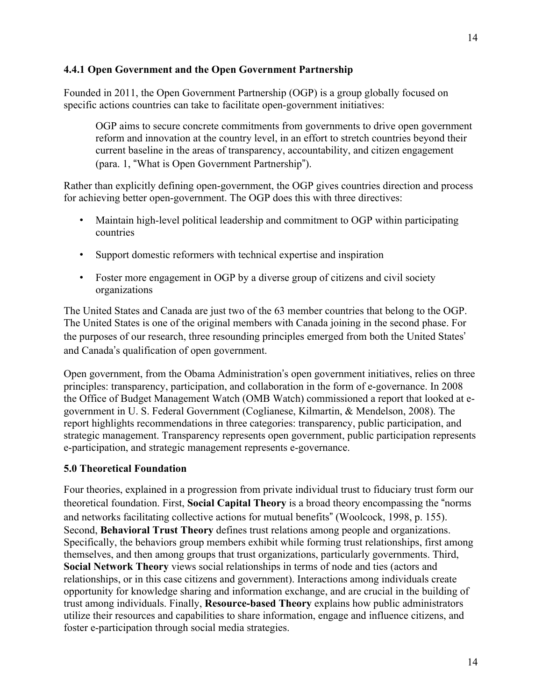## **4.4.1 Open Government and the Open Government Partnership**

Founded in 2011, the Open Government Partnership (OGP) is a group globally focused on specific actions countries can take to facilitate open-government initiatives:

OGP aims to secure concrete commitments from governments to drive open government reform and innovation at the country level, in an effort to stretch countries beyond their current baseline in the areas of transparency, accountability, and citizen engagement (para. 1, "What is Open Government Partnership").

Rather than explicitly defining open-government, the OGP gives countries direction and process for achieving better open-government. The OGP does this with three directives:

- Maintain high-level political leadership and commitment to OGP within participating countries
- Support domestic reformers with technical expertise and inspiration
- Foster more engagement in OGP by a diverse group of citizens and civil society organizations

The United States and Canada are just two of the 63 member countries that belong to the OGP. The United States is one of the original members with Canada joining in the second phase. For the purposes of our research, three resounding principles emerged from both the United States' and Canada's qualification of open government.

Open government, from the Obama Administration's open government initiatives, relies on three principles: transparency, participation, and collaboration in the form of e-governance. In 2008 the Office of Budget Management Watch (OMB Watch) commissioned a report that looked at egovernment in U. S. Federal Government (Coglianese, Kilmartin, & Mendelson, 2008). The report highlights recommendations in three categories: transparency, public participation, and strategic management. Transparency represents open government, public participation represents e-participation, and strategic management represents e-governance.

## **5.0 Theoretical Foundation**

Four theories, explained in a progression from private individual trust to fiduciary trust form our theoretical foundation. First, **Social Capital Theory** is a broad theory encompassing the "norms and networks facilitating collective actions for mutual benefits" (Woolcock, 1998, p. 155). Second, **Behavioral Trust Theory** defines trust relations among people and organizations. Specifically, the behaviors group members exhibit while forming trust relationships, first among themselves, and then among groups that trust organizations, particularly governments. Third, **Social Network Theory** views social relationships in terms of node and ties (actors and relationships, or in this case citizens and government). Interactions among individuals create opportunity for knowledge sharing and information exchange, and are crucial in the building of trust among individuals. Finally, **Resource-based Theory** explains how public administrators utilize their resources and capabilities to share information, engage and influence citizens, and foster e-participation through social media strategies.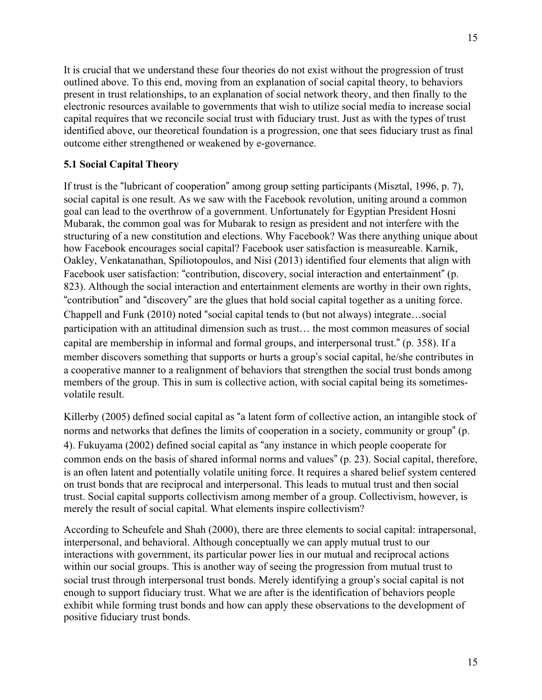It is crucial that we understand these four theories do not exist without the progression of trust outlined above. To this end, moving from an explanation of social capital theory, to behaviors present in trust relationships, to an explanation of social network theory, and then finally to the electronic resources available to governments that wish to utilize social media to increase social capital requires that we reconcile social trust with fiduciary trust. Just as with the types of trust identified above, our theoretical foundation is a progression, one that sees fiduciary trust as final outcome either strengthened or weakened by e-governance.

# **5.1 Social Capital Theory**

If trust is the "lubricant of cooperation" among group setting participants (Misztal, 1996, p. 7), social capital is one result. As we saw with the Facebook revolution, uniting around a common goal can lead to the overthrow of a government. Unfortunately for Egyptian President Hosni Mubarak, the common goal was for Mubarak to resign as president and not interfere with the structuring of a new constitution and elections. Why Facebook? Was there anything unique about how Facebook encourages social capital? Facebook user satisfaction is measureable. Karnik, Oakley, Venkatanathan, Spiliotopoulos, and Nisi (2013) identified four elements that align with Facebook user satisfaction: "contribution, discovery, social interaction and entertainment" (p. 823). Although the social interaction and entertainment elements are worthy in their own rights, "contribution" and "discovery" are the glues that hold social capital together as a uniting force. Chappell and Funk (2010) noted "social capital tends to (but not always) integrate…social participation with an attitudinal dimension such as trust… the most common measures of social capital are membership in informal and formal groups, and interpersonal trust." (p. 358). If a member discovers something that supports or hurts a group's social capital, he/she contributes in a cooperative manner to a realignment of behaviors that strengthen the social trust bonds among members of the group. This in sum is collective action, with social capital being its sometimesvolatile result.

Killerby (2005) defined social capital as "a latent form of collective action, an intangible stock of norms and networks that defines the limits of cooperation in a society, community or group" (p. 4). Fukuyama (2002) defined social capital as "any instance in which people cooperate for common ends on the basis of shared informal norms and values" (p. 23). Social capital, therefore, is an often latent and potentially volatile uniting force. It requires a shared belief system centered on trust bonds that are reciprocal and interpersonal. This leads to mutual trust and then social trust. Social capital supports collectivism among member of a group. Collectivism, however, is merely the result of social capital. What elements inspire collectivism?

According to Scheufele and Shah (2000), there are three elements to social capital: intrapersonal, interpersonal, and behavioral. Although conceptually we can apply mutual trust to our interactions with government, its particular power lies in our mutual and reciprocal actions within our social groups. This is another way of seeing the progression from mutual trust to social trust through interpersonal trust bonds. Merely identifying a group's social capital is not enough to support fiduciary trust. What we are after is the identification of behaviors people exhibit while forming trust bonds and how can apply these observations to the development of positive fiduciary trust bonds.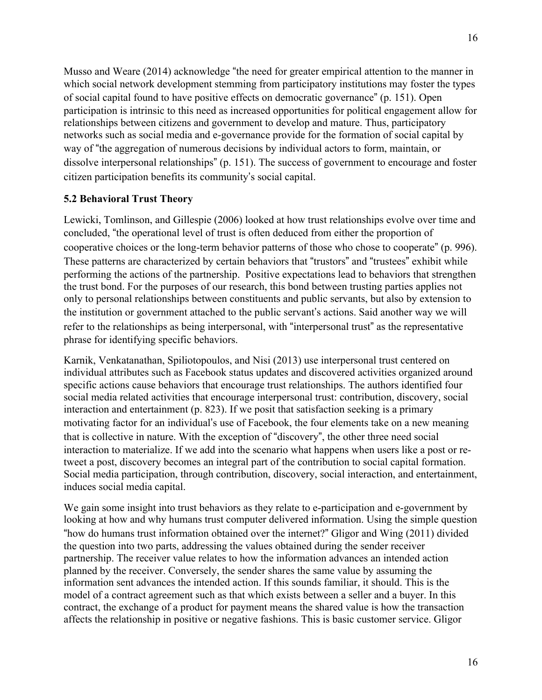Musso and Weare (2014) acknowledge "the need for greater empirical attention to the manner in which social network development stemming from participatory institutions may foster the types of social capital found to have positive effects on democratic governance" (p. 151). Open participation is intrinsic to this need as increased opportunities for political engagement allow for relationships between citizens and government to develop and mature. Thus, participatory networks such as social media and e-governance provide for the formation of social capital by way of "the aggregation of numerous decisions by individual actors to form, maintain, or dissolve interpersonal relationships" (p. 151). The success of government to encourage and foster citizen participation benefits its community's social capital.

#### **5.2 Behavioral Trust Theory**

Lewicki, Tomlinson, and Gillespie (2006) looked at how trust relationships evolve over time and concluded, "the operational level of trust is often deduced from either the proportion of cooperative choices or the long-term behavior patterns of those who chose to cooperate" (p. 996). These patterns are characterized by certain behaviors that "trustors" and "trustees" exhibit while performing the actions of the partnership. Positive expectations lead to behaviors that strengthen the trust bond. For the purposes of our research, this bond between trusting parties applies not only to personal relationships between constituents and public servants, but also by extension to the institution or government attached to the public servant's actions. Said another way we will refer to the relationships as being interpersonal, with "interpersonal trust" as the representative phrase for identifying specific behaviors.

Karnik, Venkatanathan, Spiliotopoulos, and Nisi (2013) use interpersonal trust centered on individual attributes such as Facebook status updates and discovered activities organized around specific actions cause behaviors that encourage trust relationships. The authors identified four social media related activities that encourage interpersonal trust: contribution, discovery, social interaction and entertainment (p. 823). If we posit that satisfaction seeking is a primary motivating factor for an individual's use of Facebook, the four elements take on a new meaning that is collective in nature. With the exception of "discovery", the other three need social interaction to materialize. If we add into the scenario what happens when users like a post or retweet a post, discovery becomes an integral part of the contribution to social capital formation. Social media participation, through contribution, discovery, social interaction, and entertainment, induces social media capital.

We gain some insight into trust behaviors as they relate to e-participation and e-government by looking at how and why humans trust computer delivered information. Using the simple question "how do humans trust information obtained over the internet?" Gligor and Wing (2011) divided the question into two parts, addressing the values obtained during the sender receiver partnership. The receiver value relates to how the information advances an intended action planned by the receiver. Conversely, the sender shares the same value by assuming the information sent advances the intended action. If this sounds familiar, it should. This is the model of a contract agreement such as that which exists between a seller and a buyer. In this contract, the exchange of a product for payment means the shared value is how the transaction affects the relationship in positive or negative fashions. This is basic customer service. Gligor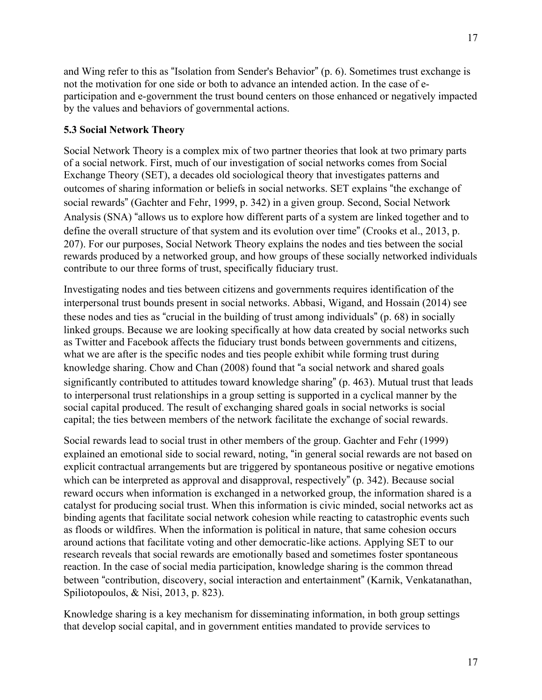and Wing refer to this as "Isolation from Sender's Behavior" (p. 6). Sometimes trust exchange is not the motivation for one side or both to advance an intended action. In the case of eparticipation and e-government the trust bound centers on those enhanced or negatively impacted by the values and behaviors of governmental actions.

# **5.3 Social Network Theory**

Social Network Theory is a complex mix of two partner theories that look at two primary parts of a social network. First, much of our investigation of social networks comes from Social Exchange Theory (SET), a decades old sociological theory that investigates patterns and outcomes of sharing information or beliefs in social networks. SET explains "the exchange of social rewards" (Gachter and Fehr, 1999, p. 342) in a given group. Second, Social Network Analysis (SNA) "allows us to explore how different parts of a system are linked together and to define the overall structure of that system and its evolution over time" (Crooks et al., 2013, p. 207). For our purposes, Social Network Theory explains the nodes and ties between the social rewards produced by a networked group, and how groups of these socially networked individuals contribute to our three forms of trust, specifically fiduciary trust.

Investigating nodes and ties between citizens and governments requires identification of the interpersonal trust bounds present in social networks. Abbasi, Wigand, and Hossain (2014) see these nodes and ties as "crucial in the building of trust among individuals" (p. 68) in socially linked groups. Because we are looking specifically at how data created by social networks such as Twitter and Facebook affects the fiduciary trust bonds between governments and citizens, what we are after is the specific nodes and ties people exhibit while forming trust during knowledge sharing. Chow and Chan (2008) found that "a social network and shared goals significantly contributed to attitudes toward knowledge sharing" (p. 463). Mutual trust that leads to interpersonal trust relationships in a group setting is supported in a cyclical manner by the social capital produced. The result of exchanging shared goals in social networks is social capital; the ties between members of the network facilitate the exchange of social rewards.

Social rewards lead to social trust in other members of the group. Gachter and Fehr (1999) explained an emotional side to social reward, noting, "in general social rewards are not based on explicit contractual arrangements but are triggered by spontaneous positive or negative emotions which can be interpreted as approval and disapproval, respectively" (p. 342). Because social reward occurs when information is exchanged in a networked group, the information shared is a catalyst for producing social trust. When this information is civic minded, social networks act as binding agents that facilitate social network cohesion while reacting to catastrophic events such as floods or wildfires. When the information is political in nature, that same cohesion occurs around actions that facilitate voting and other democratic-like actions. Applying SET to our research reveals that social rewards are emotionally based and sometimes foster spontaneous reaction. In the case of social media participation, knowledge sharing is the common thread between "contribution, discovery, social interaction and entertainment" (Karnik, Venkatanathan, Spiliotopoulos, & Nisi, 2013, p. 823).

Knowledge sharing is a key mechanism for disseminating information, in both group settings that develop social capital, and in government entities mandated to provide services to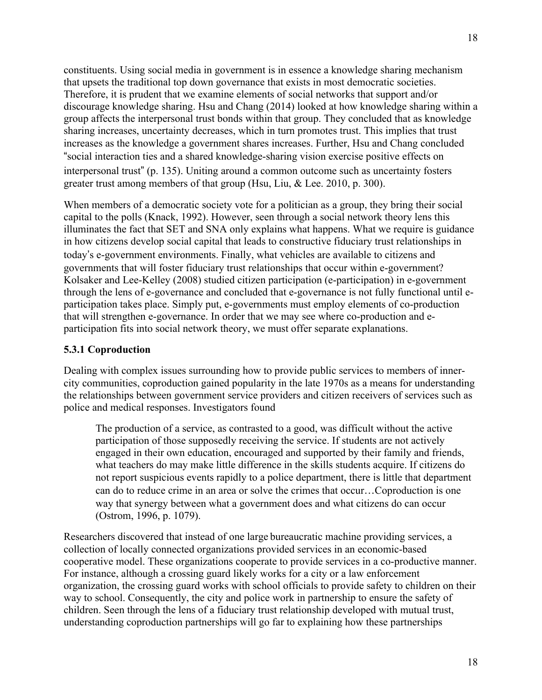constituents. Using social media in government is in essence a knowledge sharing mechanism that upsets the traditional top down governance that exists in most democratic societies. Therefore, it is prudent that we examine elements of social networks that support and/or discourage knowledge sharing. Hsu and Chang (2014) looked at how knowledge sharing within a group affects the interpersonal trust bonds within that group. They concluded that as knowledge sharing increases, uncertainty decreases, which in turn promotes trust. This implies that trust increases as the knowledge a government shares increases. Further, Hsu and Chang concluded "social interaction ties and a shared knowledge-sharing vision exercise positive effects on interpersonal trust" (p. 135). Uniting around a common outcome such as uncertainty fosters greater trust among members of that group (Hsu, Liu, & Lee. 2010, p. 300).

When members of a democratic society vote for a politician as a group, they bring their social capital to the polls (Knack, 1992). However, seen through a social network theory lens this illuminates the fact that SET and SNA only explains what happens. What we require is guidance in how citizens develop social capital that leads to constructive fiduciary trust relationships in today's e-government environments. Finally, what vehicles are available to citizens and governments that will foster fiduciary trust relationships that occur within e-government? Kolsaker and Lee-Kelley (2008) studied citizen participation (e-participation) in e-government through the lens of e-governance and concluded that e-governance is not fully functional until eparticipation takes place. Simply put, e-governments must employ elements of co-production that will strengthen e-governance. In order that we may see where co-production and eparticipation fits into social network theory, we must offer separate explanations.

# **5.3.1 Coproduction**

Dealing with complex issues surrounding how to provide public services to members of innercity communities, coproduction gained popularity in the late 1970s as a means for understanding the relationships between government service providers and citizen receivers of services such as police and medical responses. Investigators found

The production of a service, as contrasted to a good, was difficult without the active participation of those supposedly receiving the service. If students are not actively engaged in their own education, encouraged and supported by their family and friends, what teachers do may make little difference in the skills students acquire. If citizens do not report suspicious events rapidly to a police department, there is little that department can do to reduce crime in an area or solve the crimes that occur…Coproduction is one way that synergy between what a government does and what citizens do can occur (Ostrom, 1996, p. 1079).

Researchers discovered that instead of one large bureaucratic machine providing services, a collection of locally connected organizations provided services in an economic-based cooperative model. These organizations cooperate to provide services in a co-productive manner. For instance, although a crossing guard likely works for a city or a law enforcement organization, the crossing guard works with school officials to provide safety to children on their way to school. Consequently, the city and police work in partnership to ensure the safety of children. Seen through the lens of a fiduciary trust relationship developed with mutual trust, understanding coproduction partnerships will go far to explaining how these partnerships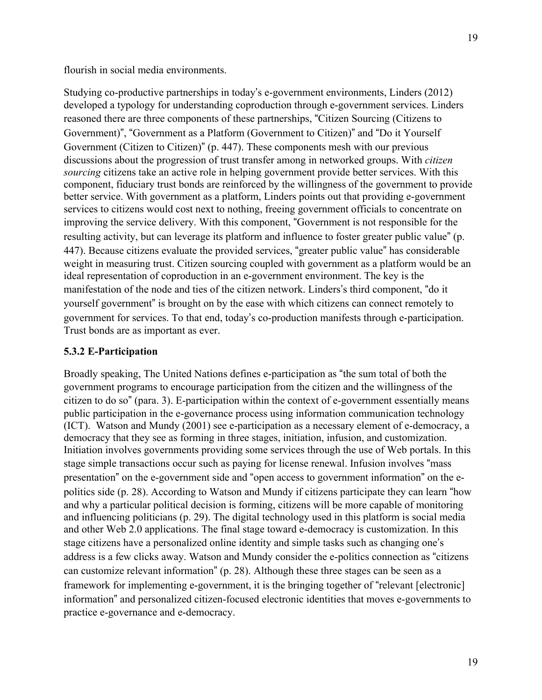flourish in social media environments.

19

Studying co-productive partnerships in today's e-government environments, Linders (2012) developed a typology for understanding coproduction through e-government services. Linders reasoned there are three components of these partnerships, "Citizen Sourcing (Citizens to Government)", "Government as a Platform (Government to Citizen)" and "Do it Yourself Government (Citizen to Citizen)" (p. 447). These components mesh with our previous discussions about the progression of trust transfer among in networked groups. With *citizen sourcing* citizens take an active role in helping government provide better services. With this component, fiduciary trust bonds are reinforced by the willingness of the government to provide better service. With government as a platform, Linders points out that providing e-government services to citizens would cost next to nothing, freeing government officials to concentrate on improving the service delivery. With this component, "Government is not responsible for the resulting activity, but can leverage its platform and influence to foster greater public value" (p. 447). Because citizens evaluate the provided services, "greater public value" has considerable weight in measuring trust. Citizen sourcing coupled with government as a platform would be an ideal representation of coproduction in an e-government environment. The key is the manifestation of the node and ties of the citizen network. Linders's third component, "do it yourself government" is brought on by the ease with which citizens can connect remotely to government for services. To that end, today's co-production manifests through e-participation. Trust bonds are as important as ever.

# **5.3.2 E-Participation**

Broadly speaking, The United Nations defines e-participation as "the sum total of both the government programs to encourage participation from the citizen and the willingness of the citizen to do so" (para. 3). E-participation within the context of e-government essentially means public participation in the e-governance process using information communication technology (ICT). Watson and Mundy (2001) see e-participation as a necessary element of e-democracy, a democracy that they see as forming in three stages, initiation, infusion, and customization. Initiation involves governments providing some services through the use of Web portals. In this stage simple transactions occur such as paying for license renewal. Infusion involves "mass presentation" on the e-government side and "open access to government information" on the epolitics side (p. 28). According to Watson and Mundy if citizens participate they can learn "how and why a particular political decision is forming, citizens will be more capable of monitoring and influencing politicians (p. 29). The digital technology used in this platform is social media and other Web 2.0 applications. The final stage toward e-democracy is customization. In this stage citizens have a personalized online identity and simple tasks such as changing one's address is a few clicks away. Watson and Mundy consider the e-politics connection as "citizens can customize relevant information" (p. 28). Although these three stages can be seen as a framework for implementing e-government, it is the bringing together of "relevant [electronic] information" and personalized citizen-focused electronic identities that moves e-governments to practice e-governance and e-democracy.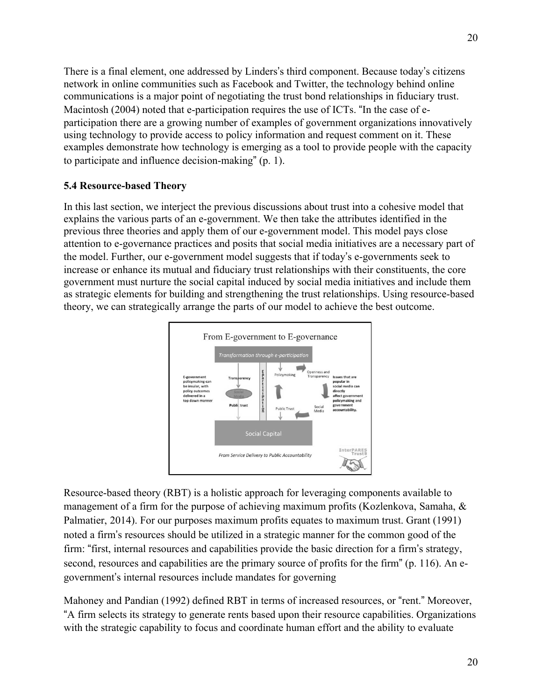There is a final element, one addressed by Linders's third component. Because today's citizens network in online communities such as Facebook and Twitter, the technology behind online communications is a major point of negotiating the trust bond relationships in fiduciary trust. Macintosh (2004) noted that e-participation requires the use of ICTs. "In the case of eparticipation there are a growing number of examples of government organizations innovatively using technology to provide access to policy information and request comment on it. These examples demonstrate how technology is emerging as a tool to provide people with the capacity to participate and influence decision-making" (p. 1).

#### **5.4 Resource-based Theory**

In this last section, we interject the previous discussions about trust into a cohesive model that explains the various parts of an e-government. We then take the attributes identified in the previous three theories and apply them of our e-government model. This model pays close attention to e-governance practices and posits that social media initiatives are a necessary part of the model. Further, our e-government model suggests that if today's e-governments seek to increase or enhance its mutual and fiduciary trust relationships with their constituents, the core government must nurture the social capital induced by social media initiatives and include them as strategic elements for building and strengthening the trust relationships. Using resource-based theory, we can strategically arrange the parts of our model to achieve the best outcome.



Resource-based theory (RBT) is a holistic approach for leveraging components available to management of a firm for the purpose of achieving maximum profits (Kozlenkova, Samaha, & Palmatier, 2014). For our purposes maximum profits equates to maximum trust. Grant (1991) noted a firm's resources should be utilized in a strategic manner for the common good of the firm: "first, internal resources and capabilities provide the basic direction for a firm's strategy, second, resources and capabilities are the primary source of profits for the firm" (p. 116). An egovernment's internal resources include mandates for governing

Mahoney and Pandian (1992) defined RBT in terms of increased resources, or "rent." Moreover, "A firm selects its strategy to generate rents based upon their resource capabilities. Organizations with the strategic capability to focus and coordinate human effort and the ability to evaluate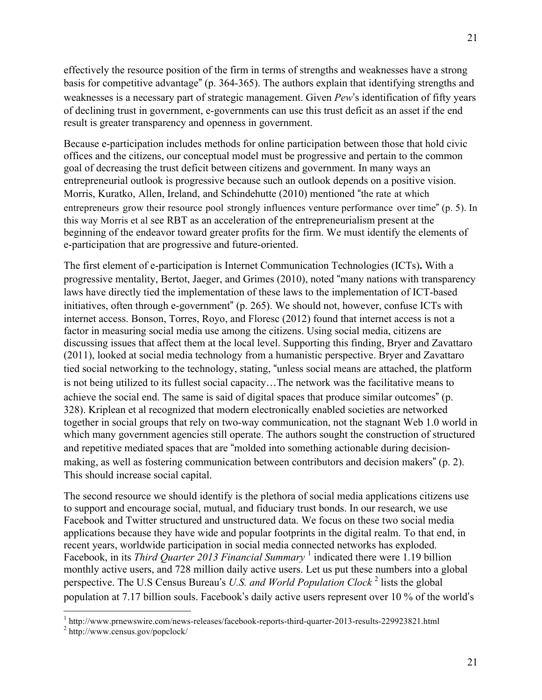effectively the resource position of the firm in terms of strengths and weaknesses have a strong basis for competitive advantage" (p. 364-365). The authors explain that identifying strengths and weaknesses is a necessary part of strategic management. Given *Pew*'s identification of fifty years of declining trust in government, e-governments can use this trust deficit as an asset if the end result is greater transparency and openness in government.

Because e-participation includes methods for online participation between those that hold civic offices and the citizens, our conceptual model must be progressive and pertain to the common goal of decreasing the trust deficit between citizens and government. In many ways an entrepreneurial outlook is progressive because such an outlook depends on a positive vision. Morris, Kuratko, Allen, Ireland, and Schindehutte (2010) mentioned "the rate at which entrepreneurs grow their resource pool strongly influences venture performance over time" (p. 5). In this way Morris et al see RBT as an acceleration of the entrepreneurialism present at the beginning of the endeavor toward greater profits for the firm. We must identify the elements of e-participation that are progressive and future-oriented.

The first element of e-participation is Internet Communication Technologies (ICTs)**.** With a progressive mentality, Bertot, Jaeger, and Grimes (2010), noted "many nations with transparency laws have directly tied the implementation of these laws to the implementation of ICT-based initiatives, often through e-government" (p. 265). We should not, however, confuse ICTs with internet access. Bonson, Torres, Royo, and Floresc (2012) found that internet access is not a factor in measuring social media use among the citizens. Using social media, citizens are discussing issues that affect them at the local level. Supporting this finding, Bryer and Zavattaro (2011), looked at social media technology from a humanistic perspective. Bryer and Zavattaro tied social networking to the technology, stating, "unless social means are attached, the platform is not being utilized to its fullest social capacity…The network was the facilitative means to achieve the social end. The same is said of digital spaces that produce similar outcomes" (p. 328). Kriplean et al recognized that modern electronically enabled societies are networked together in social groups that rely on two-way communication, not the stagnant Web 1.0 world in which many government agencies still operate. The authors sought the construction of structured and repetitive mediated spaces that are "molded into something actionable during decisionmaking, as well as fostering communication between contributors and decision makers" (p. 2). This should increase social capital.

The second resource we should identify is the plethora of social media applications citizens use to support and encourage social, mutual, and fiduciary trust bonds. In our research, we use Facebook and Twitter structured and unstructured data. We focus on these two social media applications because they have wide and popular footprints in the digital realm. To that end, in recent years, worldwide participation in social media connected networks has exploded. Facebook, in its *Third Quarter 2013 Financial Summary* <sup>1</sup> indicated there were 1.19 billion monthly active users, and 728 million daily active users. Let us put these numbers into a global perspective. The U.S Census Bureau's *U.S. and World Population Clock* <sup>2</sup> lists the global population at 7.17 billion souls. Facebook's daily active users represent over 10 % of the world's

<sup>&</sup>lt;sup>1</sup> http://www.prnewswire.com/news-releases/facebook-reports-third-quarter-2013-results-229923821.html  $^{2}$  http://www.census.gov/popclock/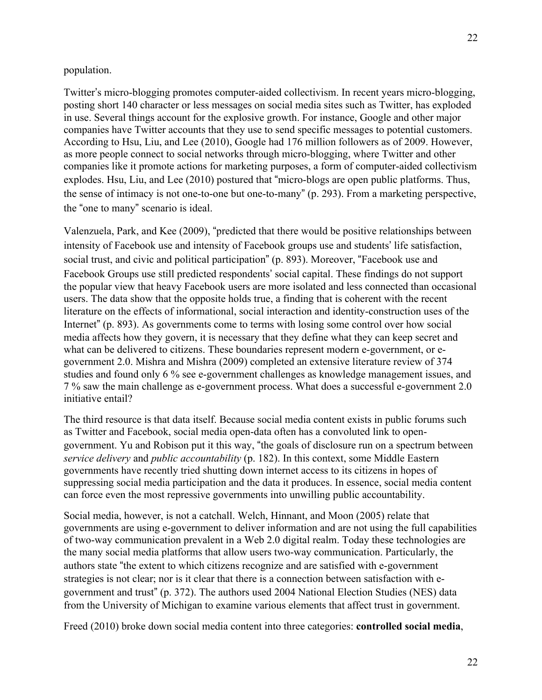#### population.

Twitter's micro-blogging promotes computer-aided collectivism. In recent years micro-blogging, posting short 140 character or less messages on social media sites such as Twitter, has exploded in use. Several things account for the explosive growth. For instance, Google and other major companies have Twitter accounts that they use to send specific messages to potential customers. According to Hsu, Liu, and Lee (2010), Google had 176 million followers as of 2009. However, as more people connect to social networks through micro-blogging, where Twitter and other companies like it promote actions for marketing purposes, a form of computer-aided collectivism explodes. Hsu, Liu, and Lee (2010) postured that "micro-blogs are open public platforms. Thus, the sense of intimacy is not one-to-one but one-to-many" (p. 293). From a marketing perspective, the "one to many" scenario is ideal.

Valenzuela, Park, and Kee (2009), "predicted that there would be positive relationships between intensity of Facebook use and intensity of Facebook groups use and students' life satisfaction, social trust, and civic and political participation" (p. 893). Moreover, "Facebook use and Facebook Groups use still predicted respondents' social capital. These findings do not support the popular view that heavy Facebook users are more isolated and less connected than occasional users. The data show that the opposite holds true, a finding that is coherent with the recent literature on the effects of informational, social interaction and identity-construction uses of the Internet" (p. 893). As governments come to terms with losing some control over how social media affects how they govern, it is necessary that they define what they can keep secret and what can be delivered to citizens. These boundaries represent modern e-government, or egovernment 2.0. Mishra and Mishra (2009) completed an extensive literature review of 374 studies and found only 6 % see e-government challenges as knowledge management issues, and 7 % saw the main challenge as e-government process. What does a successful e-government 2.0 initiative entail?

The third resource is that data itself. Because social media content exists in public forums such as Twitter and Facebook, social media open-data often has a convoluted link to opengovernment. Yu and Robison put it this way, "the goals of disclosure run on a spectrum between *service delivery* and *public accountability* (p. 182). In this context, some Middle Eastern governments have recently tried shutting down internet access to its citizens in hopes of suppressing social media participation and the data it produces. In essence, social media content can force even the most repressive governments into unwilling public accountability.

Social media, however, is not a catchall. Welch, Hinnant, and Moon (2005) relate that governments are using e-government to deliver information and are not using the full capabilities of two-way communication prevalent in a Web 2.0 digital realm. Today these technologies are the many social media platforms that allow users two-way communication. Particularly, the authors state "the extent to which citizens recognize and are satisfied with e-government strategies is not clear; nor is it clear that there is a connection between satisfaction with egovernment and trust" (p. 372). The authors used 2004 National Election Studies (NES) data from the University of Michigan to examine various elements that affect trust in government.

Freed (2010) broke down social media content into three categories: **controlled social media**,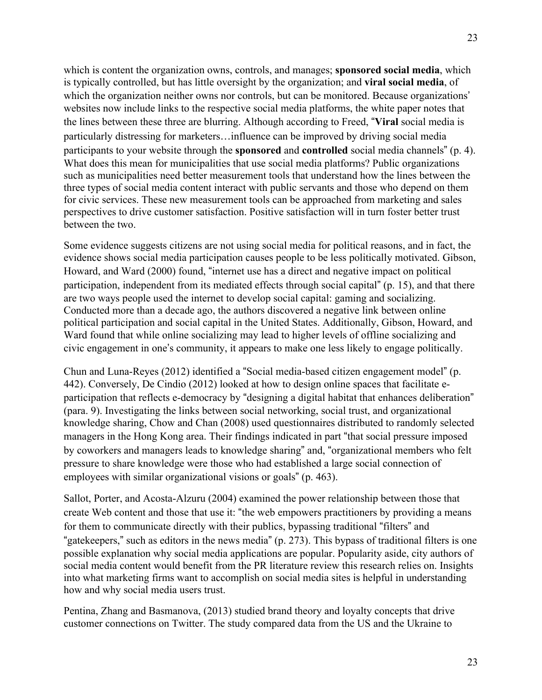which is content the organization owns, controls, and manages; **sponsored social media**, which is typically controlled, but has little oversight by the organization; and **viral social media**, of which the organization neither owns nor controls, but can be monitored. Because organizations' websites now include links to the respective social media platforms, the white paper notes that the lines between these three are blurring. Although according to Freed, "**Viral** social media is particularly distressing for marketers…influence can be improved by driving social media participants to your website through the **sponsored** and **controlled** social media channels" (p. 4). What does this mean for municipalities that use social media platforms? Public organizations such as municipalities need better measurement tools that understand how the lines between the three types of social media content interact with public servants and those who depend on them for civic services. These new measurement tools can be approached from marketing and sales perspectives to drive customer satisfaction. Positive satisfaction will in turn foster better trust between the two.

Some evidence suggests citizens are not using social media for political reasons, and in fact, the evidence shows social media participation causes people to be less politically motivated. Gibson, Howard, and Ward (2000) found, "internet use has a direct and negative impact on political participation, independent from its mediated effects through social capital" (p. 15), and that there are two ways people used the internet to develop social capital: gaming and socializing. Conducted more than a decade ago, the authors discovered a negative link between online political participation and social capital in the United States. Additionally, Gibson, Howard, and Ward found that while online socializing may lead to higher levels of offline socializing and civic engagement in one's community, it appears to make one less likely to engage politically.

Chun and Luna-Reyes (2012) identified a "Social media-based citizen engagement model" (p. 442). Conversely, De Cindio (2012) looked at how to design online spaces that facilitate eparticipation that reflects e-democracy by "designing a digital habitat that enhances deliberation" (para. 9). Investigating the links between social networking, social trust, and organizational knowledge sharing, Chow and Chan (2008) used questionnaires distributed to randomly selected managers in the Hong Kong area. Their findings indicated in part "that social pressure imposed by coworkers and managers leads to knowledge sharing" and, "organizational members who felt pressure to share knowledge were those who had established a large social connection of employees with similar organizational visions or goals" (p. 463).

Sallot, Porter, and Acosta-Alzuru (2004) examined the power relationship between those that create Web content and those that use it: "the web empowers practitioners by providing a means for them to communicate directly with their publics, bypassing traditional "filters" and "gatekeepers," such as editors in the news media" (p. 273). This bypass of traditional filters is one possible explanation why social media applications are popular. Popularity aside, city authors of social media content would benefit from the PR literature review this research relies on. Insights into what marketing firms want to accomplish on social media sites is helpful in understanding how and why social media users trust.

Pentina, Zhang and Basmanova, (2013) studied brand theory and loyalty concepts that drive customer connections on Twitter. The study compared data from the US and the Ukraine to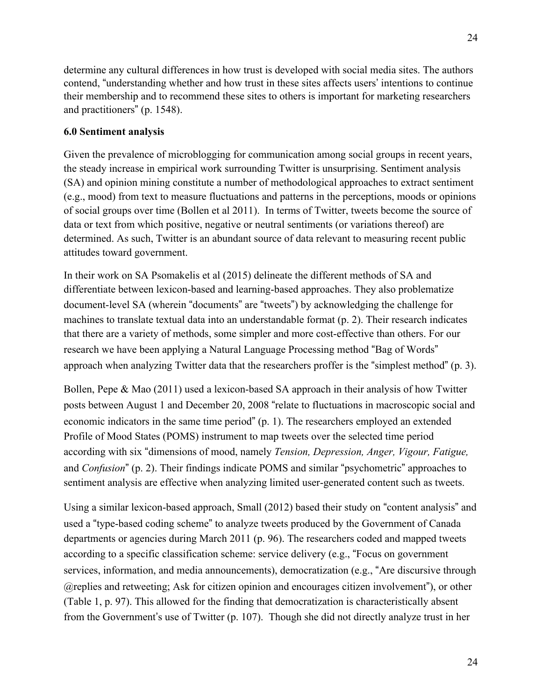determine any cultural differences in how trust is developed with social media sites. The authors contend, "understanding whether and how trust in these sites affects users' intentions to continue their membership and to recommend these sites to others is important for marketing researchers and practitioners" (p. 1548).

## **6.0 Sentiment analysis**

Given the prevalence of microblogging for communication among social groups in recent years, the steady increase in empirical work surrounding Twitter is unsurprising. Sentiment analysis (SA) and opinion mining constitute a number of methodological approaches to extract sentiment (e.g., mood) from text to measure fluctuations and patterns in the perceptions, moods or opinions of social groups over time (Bollen et al 2011). In terms of Twitter, tweets become the source of data or text from which positive, negative or neutral sentiments (or variations thereof) are determined. As such, Twitter is an abundant source of data relevant to measuring recent public attitudes toward government.

In their work on SA Psomakelis et al (2015) delineate the different methods of SA and differentiate between lexicon-based and learning-based approaches. They also problematize document-level SA (wherein "documents" are "tweets") by acknowledging the challenge for machines to translate textual data into an understandable format (p. 2). Their research indicates that there are a variety of methods, some simpler and more cost-effective than others. For our research we have been applying a Natural Language Processing method "Bag of Words" approach when analyzing Twitter data that the researchers proffer is the "simplest method" (p. 3).

Bollen, Pepe & Mao (2011) used a lexicon-based SA approach in their analysis of how Twitter posts between August 1 and December 20, 2008 "relate to fluctuations in macroscopic social and economic indicators in the same time period" (p. 1). The researchers employed an extended Profile of Mood States (POMS) instrument to map tweets over the selected time period according with six "dimensions of mood, namely *Tension, Depression, Anger, Vigour, Fatigue,*  and *Confusion*" (p. 2). Their findings indicate POMS and similar "psychometric" approaches to sentiment analysis are effective when analyzing limited user-generated content such as tweets.

Using a similar lexicon-based approach, Small (2012) based their study on "content analysis" and used a "type-based coding scheme" to analyze tweets produced by the Government of Canada departments or agencies during March 2011 (p. 96). The researchers coded and mapped tweets according to a specific classification scheme: service delivery (e.g., "Focus on government services, information, and media announcements), democratization (e.g., "Are discursive through @replies and retweeting; Ask for citizen opinion and encourages citizen involvement"), or other (Table 1, p. 97). This allowed for the finding that democratization is characteristically absent from the Government's use of Twitter (p. 107). Though she did not directly analyze trust in her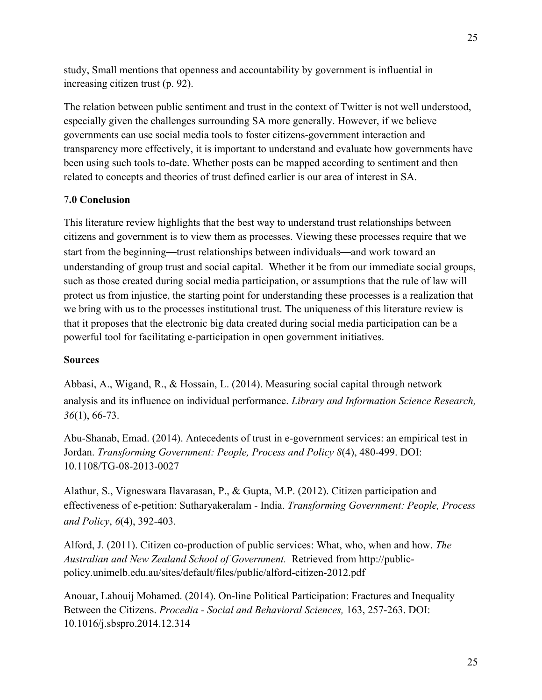study, Small mentions that openness and accountability by government is influential in increasing citizen trust (p. 92).

The relation between public sentiment and trust in the context of Twitter is not well understood, especially given the challenges surrounding SA more generally. However, if we believe governments can use social media tools to foster citizens-government interaction and transparency more effectively, it is important to understand and evaluate how governments have been using such tools to-date. Whether posts can be mapped according to sentiment and then related to concepts and theories of trust defined earlier is our area of interest in SA.

# 7**.0 Conclusion**

This literature review highlights that the best way to understand trust relationships between citizens and government is to view them as processes. Viewing these processes require that we start from the beginning—trust relationships between individuals—and work toward an understanding of group trust and social capital. Whether it be from our immediate social groups, such as those created during social media participation, or assumptions that the rule of law will protect us from injustice, the starting point for understanding these processes is a realization that we bring with us to the processes institutional trust. The uniqueness of this literature review is that it proposes that the electronic big data created during social media participation can be a powerful tool for facilitating e-participation in open government initiatives.

#### **Sources**

Abbasi, A., Wigand, R., & Hossain, L. (2014). Measuring social capital through network analysis and its influence on individual performance. *Library and Information Science Research, 36*(1), 66-73.

Abu-Shanab, Emad. (2014). Antecedents of trust in e-government services: an empirical test in Jordan. *Transforming Government: People, Process and Policy 8*(4), 480-499. DOI: 10.1108/TG-08-2013-0027

Alathur, S., Vigneswara Ilavarasan, P., & Gupta, M.P. (2012). Citizen participation and effectiveness of e-petition: Sutharyakeralam - India. *Transforming Government: People, Process and Policy*, *6*(4), 392-403.

Alford, J. (2011). Citizen co-production of public services: What, who, when and how. *The Australian and New Zealand School of Government.* Retrieved from http://publicpolicy.unimelb.edu.au/sites/default/files/public/alford-citizen-2012.pdf

Anouar, Lahouij Mohamed. (2014). On-line Political Participation: Fractures and Inequality Between the Citizens. *Procedia - Social and Behavioral Sciences,* 163, 257-263. DOI: 10.1016/j.sbspro.2014.12.314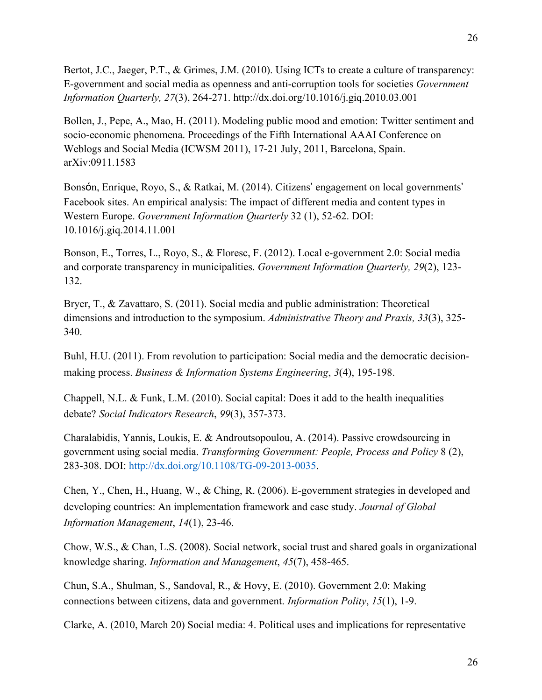Bertot, J.C., Jaeger, P.T., & Grimes, J.M. (2010). Using ICTs to create a culture of transparency: E-government and social media as openness and anti-corruption tools for societies *Government Information Quarterly, 27*(3), 264-271. http://dx.doi.org/10.1016/j.giq.2010.03.001

Bollen, J., Pepe, A., Mao, H. (2011). Modeling public mood and emotion: Twitter sentiment and socio-economic phenomena. Proceedings of the Fifth International AAAI Conference on Weblogs and Social Media (ICWSM 2011), 17-21 July, 2011, Barcelona, Spain. arXiv:0911.1583

Bonsón, Enrique, Royo, S., & Ratkai, M. (2014). Citizens' engagement on local governments' Facebook sites. An empirical analysis: The impact of different media and content types in Western Europe. *Government Information Quarterly* 32 (1), 52-62. DOI: 10.1016/j.giq.2014.11.001

Bonson, E., Torres, L., Royo, S., & Floresc, F. (2012). Local e-government 2.0: Social media and corporate transparency in municipalities. *Government Information Quarterly, 29*(2), 123- 132.

Bryer, T., & Zavattaro, S. (2011). Social media and public administration: Theoretical dimensions and introduction to the symposium. *Administrative Theory and Praxis, 33*(3), 325- 340.

Buhl, H.U. (2011). From revolution to participation: Social media and the democratic decisionmaking process. *Business & Information Systems Engineering*, *3*(4), 195-198.

Chappell, N.L. & Funk, L.M. (2010). Social capital: Does it add to the health inequalities debate? *Social Indicators Research*, *99*(3), 357-373.

Charalabidis, Yannis, Loukis, E. & Androutsopoulou, A. (2014). Passive crowdsourcing in government using social media. *Transforming Government: People, Process and Policy* 8 (2), 283-308. DOI: http://dx.doi.org/10.1108/TG-09-2013-0035.

Chen, Y., Chen, H., Huang, W., & Ching, R. (2006). E-government strategies in developed and developing countries: An implementation framework and case study. *Journal of Global Information Management*, *14*(1), 23-46.

Chow, W.S., & Chan, L.S. (2008). Social network, social trust and shared goals in organizational knowledge sharing. *Information and Management*, *45*(7), 458-465.

Chun, S.A., Shulman, S., Sandoval, R., & Hovy, E. (2010). Government 2.0: Making connections between citizens, data and government. *Information Polity*, *15*(1), 1-9.

Clarke, A. (2010, March 20) Social media: 4. Political uses and implications for representative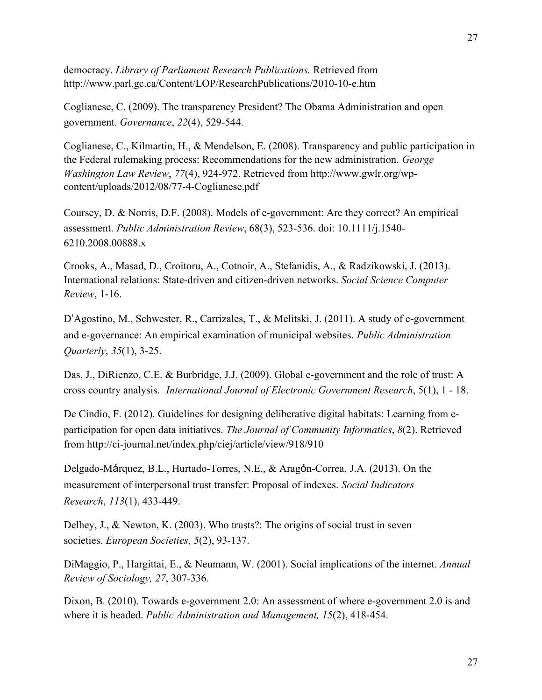democracy. *Library of Parliament Research Publications.* Retrieved from http://www.parl.gc.ca/Content/LOP/ResearchPublications/2010-10-e.htm

Coglianese, C. (2009). The transparency President? The Obama Administration and open government. *Governance*, *22*(4), 529-544.

Coglianese, C., Kilmartin, H., & Mendelson, E. (2008). Transparency and public participation in the Federal rulemaking process: Recommendations for the new administration. *George Washington Law Review*, *77*(4), 924-972. Retrieved from http://www.gwlr.org/wpcontent/uploads/2012/08/77-4-Coglianese.pdf

Coursey, D. & Norris, D.F. (2008). Models of e-government: Are they correct? An empirical assessment. *Public Administration Review*, 68(3), 523-536. doi: 10.1111/j.1540- 6210.2008.00888.x

Crooks, A., Masad, D., Croitoru, A., Cotnoir, A., Stefanidis, A., & Radzikowski, J. (2013). International relations: State-driven and citizen-driven networks. *Social Science Computer Review*, 1-16.

D'Agostino, M., Schwester, R., Carrizales, T., & Melitski, J. (2011). A study of e-government and e-governance: An empirical examination of municipal websites. *Public Administration Quarterly*, *35*(1), 3-25.

Das, J., DiRienzo, C.E. & Burbridge, J.J. (2009). Global e-government and the role of trust: A cross country analysis. *International Journal of Electronic Government Research*, 5(1), 1 - 18.

De Cindio, F. (2012). Guidelines for designing deliberative digital habitats: Learning from eparticipation for open data initiatives. *The Journal of Community Informatics*, *8*(2). Retrieved from http://ci-journal.net/index.php/ciej/article/view/918/910

Delgado-Márquez, B.L., Hurtado-Torres, N.E., & Aragón-Correa, J.A. (2013). On the measurement of interpersonal trust transfer: Proposal of indexes. *Social Indicators Research*, *113*(1), 433-449.

Delhey, J., & Newton, K. (2003). Who trusts?: The origins of social trust in seven societies. *European Societies*, *5*(2), 93-137.

DiMaggio, P., Hargittai, E., & Neumann, W. (2001). Social implications of the internet. *Annual Review of Sociology, 27*, 307-336.

Dixon, B. (2010). Towards e-government 2.0: An assessment of where e-government 2.0 is and where it is headed. *Public Administration and Management, 15*(2), 418-454.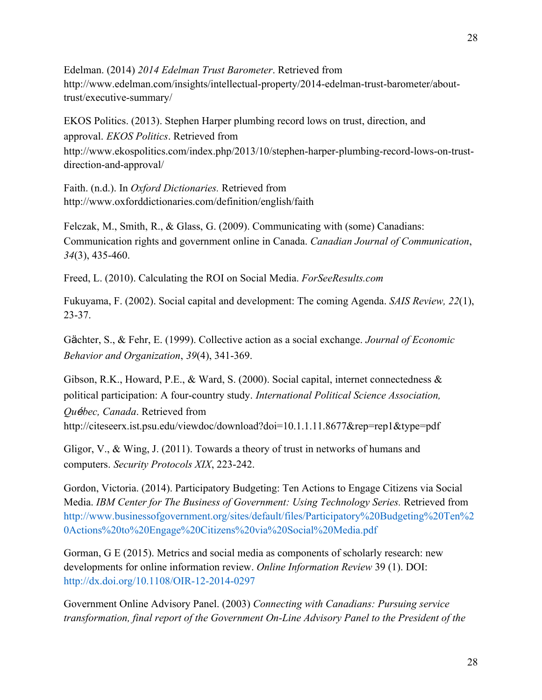Edelman. (2014) *2014 Edelman Trust Barometer*. Retrieved from http://www.edelman.com/insights/intellectual-property/2014-edelman-trust-barometer/abouttrust/executive-summary/

EKOS Politics. (2013). Stephen Harper plumbing record lows on trust, direction, and approval. *EKOS Politics*. Retrieved from http://www.ekospolitics.com/index.php/2013/10/stephen-harper-plumbing-record-lows-on-trustdirection-and-approval/

Faith. (n.d.). In *Oxford Dictionaries.* Retrieved from http://www.oxforddictionaries.com/definition/english/faith

Felczak, M., Smith, R., & Glass, G. (2009). Communicating with (some) Canadians: Communication rights and government online in Canada. *Canadian Journal of Communication*, *34*(3), 435-460.

Freed, L. (2010). Calculating the ROI on Social Media. *ForSeeResults.com* 

Fukuyama, F. (2002). Social capital and development: The coming Agenda. *SAIS Review, 22*(1), 23-37.

Gächter, S., & Fehr, E. (1999). Collective action as a social exchange. *Journal of Economic Behavior and Organization*, *39*(4), 341-369.

Gibson, R.K., Howard, P.E.,  $\&$  Ward, S. (2000). Social capital, internet connectedness  $\&$ political participation: A four-country study. *International Political Science Association, Qu*é*bec, Canada*. Retrieved from http://citeseerx.ist.psu.edu/viewdoc/download?doi=10.1.1.11.8677&rep=rep1&type=pdf

Gligor, V., & Wing, J. (2011). Towards a theory of trust in networks of humans and computers. *Security Protocols XIX*, 223-242.

Gordon, Victoria. (2014). Participatory Budgeting: Ten Actions to Engage Citizens via Social Media. *IBM Center for The Business of Government: Using Technology Series.* Retrieved from http://www.businessofgovernment.org/sites/default/files/Participatory%20Budgeting%20Ten%2 0Actions%20to%20Engage%20Citizens%20via%20Social%20Media.pdf

Gorman, G E (2015). Metrics and social media as components of scholarly research: new developments for online information review. *Online Information Review* 39 (1). DOI: http://dx.doi.org/10.1108/OIR-12-2014-0297

Government Online Advisory Panel. (2003) *Connecting with Canadians: Pursuing service transformation, final report of the Government On-Line Advisory Panel to the President of the*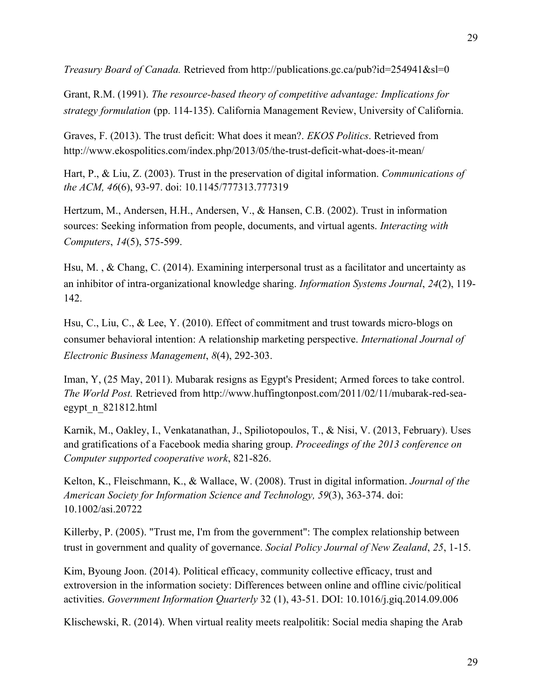*Treasury Board of Canada.* Retrieved from http://publications.gc.ca/pub?id=254941&sl=0

Grant, R.M. (1991). *The resource-based theory of competitive advantage: Implications for strategy formulation* (pp. 114-135). California Management Review, University of California.

Graves, F. (2013). The trust deficit: What does it mean?. *EKOS Politics*. Retrieved from http://www.ekospolitics.com/index.php/2013/05/the-trust-deficit-what-does-it-mean/

Hart, P., & Liu, Z. (2003). Trust in the preservation of digital information. *Communications of the ACM, 46*(6), 93-97. doi: 10.1145/777313.777319

Hertzum, M., Andersen, H.H., Andersen, V., & Hansen, C.B. (2002). Trust in information sources: Seeking information from people, documents, and virtual agents. *Interacting with Computers*, *14*(5), 575-599.

Hsu, M. , & Chang, C. (2014). Examining interpersonal trust as a facilitator and uncertainty as an inhibitor of intra-organizational knowledge sharing. *Information Systems Journal*, *24*(2), 119- 142.

Hsu, C., Liu, C., & Lee, Y. (2010). Effect of commitment and trust towards micro-blogs on consumer behavioral intention: A relationship marketing perspective. *International Journal of Electronic Business Management*, *8*(4), 292-303.

Iman, Y, (25 May, 2011). Mubarak resigns as Egypt's President; Armed forces to take control. *The World Post.* Retrieved from http://www.huffingtonpost.com/2011/02/11/mubarak-red-seaegypt\_n\_821812.html

Karnik, M., Oakley, I., Venkatanathan, J., Spiliotopoulos, T., & Nisi, V. (2013, February). Uses and gratifications of a Facebook media sharing group. *Proceedings of the 2013 conference on Computer supported cooperative work*, 821-826.

Kelton, K., Fleischmann, K., & Wallace, W. (2008). Trust in digital information. *Journal of the American Society for Information Science and Technology, 59*(3), 363-374. doi: 10.1002/asi.20722

Killerby, P. (2005). "Trust me, I'm from the government": The complex relationship between trust in government and quality of governance. *Social Policy Journal of New Zealand*, *25*, 1-15.

Kim, Byoung Joon. (2014). Political efficacy, community collective efficacy, trust and extroversion in the information society: Differences between online and offline civic/political activities. *Government Information Quarterly* 32 (1), 43-51. DOI: 10.1016/j.giq.2014.09.006

Klischewski, R. (2014). When virtual reality meets realpolitik: Social media shaping the Arab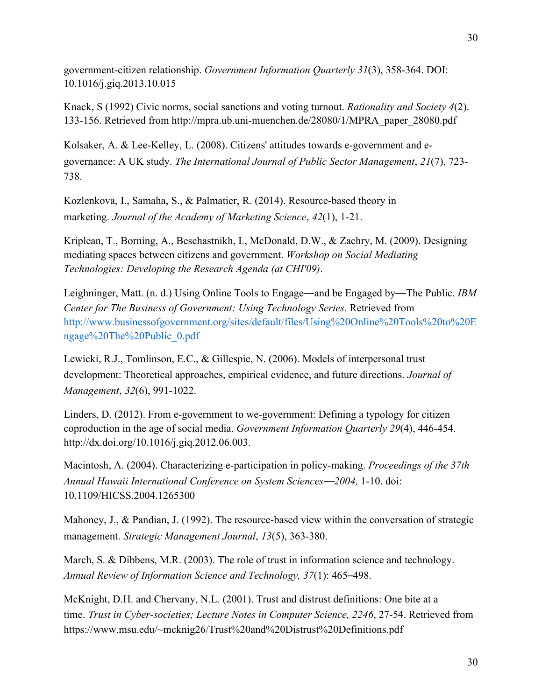government-citizen relationship. *Government Information Quarterly 31*(3), 358-364. DOI: 10.1016/j.giq.2013.10.015

Knack, S (1992) Civic norms, social sanctions and voting turnout. *Rationality and Society 4*(2). 133-156. Retrieved from http://mpra.ub.uni-muenchen.de/28080/1/MPRA\_paper\_28080.pdf

Kolsaker, A. & Lee-Kelley, L. (2008). Citizens' attitudes towards e-government and egovernance: A UK study. *The International Journal of Public Sector Management*, *21*(7), 723- 738.

Kozlenkova, I., Samaha, S., & Palmatier, R. (2014). Resource-based theory in marketing. *Journal of the Academy of Marketing Science*, *42*(1), 1-21.

Kriplean, T., Borning, A., Beschastnikh, I., McDonald, D.W., & Zachry, M. (2009). Designing mediating spaces between citizens and government. *Workshop on Social Mediating Technologies: Developing the Research Agenda (at CHI'09)*.

Leighninger, Matt. (n. d.) Using Online Tools to Engage—and be Engaged by—The Public. *IBM Center for The Business of Government: Using Technology Series.* Retrieved from http://www.businessofgovernment.org/sites/default/files/Using%20Online%20Tools%20to%20E ngage%20The%20Public\_0.pdf

Lewicki, R.J., Tomlinson, E.C., & Gillespie, N. (2006). Models of interpersonal trust development: Theoretical approaches, empirical evidence, and future directions. *Journal of Management*, *32*(6), 991-1022.

Linders, D. (2012). From e-government to we-government: Defining a typology for citizen coproduction in the age of social media. *Government Information Quarterly 29*(4), 446-454. http://dx.doi.org/10.1016/j.giq.2012.06.003.

Macintosh, A. (2004). Characterizing e-participation in policy-making. *Proceedings of the 37th Annual Hawaii International Conference on System Sciences*—*2004,* 1-10. doi: 10.1109/HICSS.2004.1265300

Mahoney, J., & Pandian, J. (1992). The resource-based view within the conversation of strategic management. *Strategic Management Journal*, *13*(5), 363-380.

March, S. & Dibbens, M.R. (2003). The role of trust in information science and technology. *Annual Review of Information Science and Technology, 37*(1): 465–498.

McKnight, D.H. and Chervany, N.L. (2001). Trust and distrust definitions: One bite at a time. *Trust in Cyber-societies; Lecture Notes in Computer Science, 2246*, 27-54. Retrieved from https://www.msu.edu/~mcknig26/Trust%20and%20Distrust%20Definitions.pdf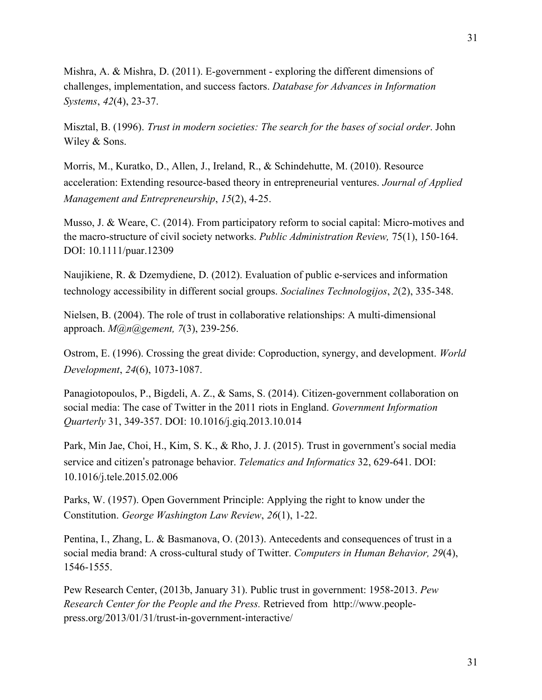Mishra, A. & Mishra, D. (2011). E-government - exploring the different dimensions of challenges, implementation, and success factors. *Database for Advances in Information Systems*, *42*(4), 23-37.

Misztal, B. (1996). *Trust in modern societies: The search for the bases of social order*. John Wiley & Sons.

Morris, M., Kuratko, D., Allen, J., Ireland, R., & Schindehutte, M. (2010). Resource acceleration: Extending resource-based theory in entrepreneurial ventures. *Journal of Applied Management and Entrepreneurship*, *15*(2), 4-25.

Musso, J. & Weare, C. (2014). From participatory reform to social capital: Micro-motives and the macro-structure of civil society networks. *Public Administration Review,* 75(1), 150-164. DOI: 10.1111/puar.12309

Naujikiene, R. & Dzemydiene, D. (2012). Evaluation of public e-services and information technology accessibility in different social groups. *Socialines Technologijos*, *2*(2), 335-348.

Nielsen, B. (2004). The role of trust in collaborative relationships: A multi-dimensional approach. *M@n@gement, 7*(3), 239-256.

Ostrom, E. (1996). Crossing the great divide: Coproduction, synergy, and development. *World Development*, *24*(6), 1073-1087.

Panagiotopoulos, P., Bigdeli, A. Z., & Sams, S. (2014). Citizen-government collaboration on social media: The case of Twitter in the 2011 riots in England. *Government Information Quarterly* 31, 349-357. DOI: 10.1016/j.giq.2013.10.014

Park, Min Jae, Choi, H., Kim, S. K., & Rho, J. J. (2015). Trust in government's social media service and citizen's patronage behavior. *Telematics and Informatics* 32, 629-641. DOI: 10.1016/j.tele.2015.02.006

Parks, W. (1957). Open Government Principle: Applying the right to know under the Constitution. *George Washington Law Review*, *26*(1), 1-22.

Pentina, I., Zhang, L. & Basmanova, O. (2013). Antecedents and consequences of trust in a social media brand: A cross-cultural study of Twitter. *Computers in Human Behavior, 29*(4), 1546-1555.

Pew Research Center, (2013b, January 31). Public trust in government: 1958-2013. *Pew Research Center for the People and the Press.* Retrieved from http://www.peoplepress.org/2013/01/31/trust-in-government-interactive/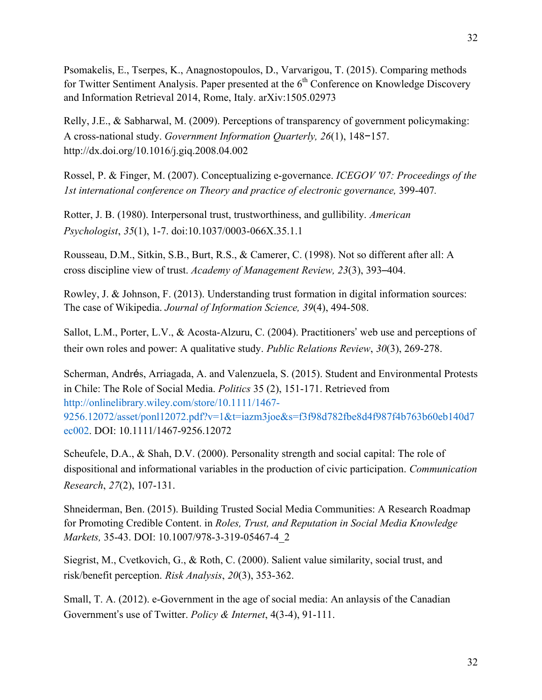Psomakelis, E., Tserpes, K., Anagnostopoulos, D., Varvarigou, T. (2015). Comparing methods for Twitter Sentiment Analysis. Paper presented at the  $6<sup>th</sup>$  Conference on Knowledge Discovery and Information Retrieval 2014, Rome, Italy. arXiv:1505.02973

Relly, J.E., & Sabharwal, M. (2009). Perceptions of transparency of government policymaking: A cross-national study. *Government Information Quarterly, 26*(1), 148−157. http://dx.doi.org/10.1016/j.giq.2008.04.002

Rossel, P. & Finger, M. (2007). Conceptualizing e-governance. *ICEGOV '07: Proceedings of the 1st international conference on Theory and practice of electronic governance,* 399-407*.*

Rotter, J. B. (1980). Interpersonal trust, trustworthiness, and gullibility. *American Psychologist*, *35*(1), 1-7. doi:10.1037/0003-066X.35.1.1

Rousseau, D.M., Sitkin, S.B., Burt, R.S., & Camerer, C. (1998). Not so different after all: A cross discipline view of trust. *Academy of Management Review, 23*(3), 393–404.

Rowley, J. & Johnson, F. (2013). Understanding trust formation in digital information sources: The case of Wikipedia. *Journal of Information Science, 39*(4), 494-508.

Sallot, L.M., Porter, L.V., & Acosta-Alzuru, C. (2004). Practitioners' web use and perceptions of their own roles and power: A qualitative study. *Public Relations Review*, *30*(3), 269-278.

Scherman, Andrés, Arriagada, A. and Valenzuela, S. (2015). Student and Environmental Protests in Chile: The Role of Social Media. *Politics* 35 (2), 151-171. Retrieved from http://onlinelibrary.wiley.com/store/10.1111/1467- 9256.12072/asset/ponl12072.pdf?v=1&t=iazm3joe&s=f3f98d782fbe8d4f987f4b763b60eb140d7 ec002. DOI: 10.1111/1467-9256.12072

Scheufele, D.A., & Shah, D.V. (2000). Personality strength and social capital: The role of dispositional and informational variables in the production of civic participation. *Communication Research*, *27*(2), 107-131.

Shneiderman, Ben. (2015). Building Trusted Social Media Communities: A Research Roadmap for Promoting Credible Content. in *Roles, Trust, and Reputation in Social Media Knowledge Markets,* 35-43. DOI: 10.1007/978-3-319-05467-4\_2

Siegrist, M., Cvetkovich, G., & Roth, C. (2000). Salient value similarity, social trust, and risk/benefit perception. *Risk Analysis*, *20*(3), 353-362.

Small, T. A. (2012). e-Government in the age of social media: An anlaysis of the Canadian Government's use of Twitter. *Policy & Internet*, 4(3-4), 91-111.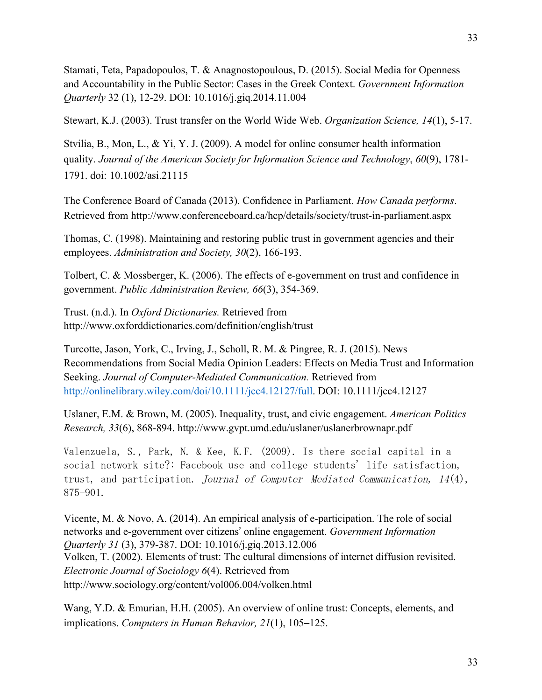Stamati, Teta, Papadopoulos, T. & Anagnostopoulous, D. (2015). Social Media for Openness and Accountability in the Public Sector: Cases in the Greek Context. *Government Information Quarterly* 32 (1), 12-29. DOI: 10.1016/j.giq.2014.11.004

Stewart, K.J. (2003). Trust transfer on the World Wide Web. *Organization Science, 14*(1), 5-17.

Stvilia, B., Mon, L., & Yi, Y. J. (2009). A model for online consumer health information quality. *Journal of the American Society for Information Science and Technology*, *60*(9), 1781- 1791. doi: 10.1002/asi.21115

The Conference Board of Canada (2013). Confidence in Parliament. *How Canada performs*. Retrieved from http://www.conferenceboard.ca/hcp/details/society/trust-in-parliament.aspx

Thomas, C. (1998). Maintaining and restoring public trust in government agencies and their employees. *Administration and Society, 30*(2), 166-193.

Tolbert, C. & Mossberger, K. (2006). The effects of e-government on trust and confidence in government. *Public Administration Review, 66*(3), 354-369.

Trust. (n.d.). In *Oxford Dictionaries.* Retrieved from http://www.oxforddictionaries.com/definition/english/trust

Turcotte, Jason, York, C., Irving, J., Scholl, R. M. & Pingree, R. J. (2015). News Recommendations from Social Media Opinion Leaders: Effects on Media Trust and Information Seeking. *Journal of Computer-Mediated Communication.* Retrieved from http://onlinelibrary.wiley.com/doi/10.1111/jcc4.12127/full. DOI: 10.1111/jcc4.12127

Uslaner, E.M. & Brown, M. (2005). Inequality, trust, and civic engagement. *American Politics Research, 33*(6), 868-894. http://www.gvpt.umd.edu/uslaner/uslanerbrownapr.pdf

Valenzuela, S., Park, N. & Kee, K.F. (2009). Is there social capital in a social network site?: Facebook use and college students' life satisfaction, trust, and participation. Journal of Computer Mediated Communication,  $14(4)$ , 875-901.

Vicente, M. & Novo, A. (2014). An empirical analysis of e-participation. The role of social networks and e-government over citizens' online engagement. *Government Information Quarterly 31* (3), 379-387. DOI: 10.1016/j.giq.2013.12.006 Volken, T. (2002). Elements of trust: The cultural dimensions of internet diffusion revisited. *Electronic Journal of Sociology 6*(4). Retrieved from http://www.sociology.org/content/vol006.004/volken.html

Wang, Y.D. & Emurian, H.H. (2005). An overview of online trust: Concepts, elements, and implications. *Computers in Human Behavior, 21*(1), 105–125.